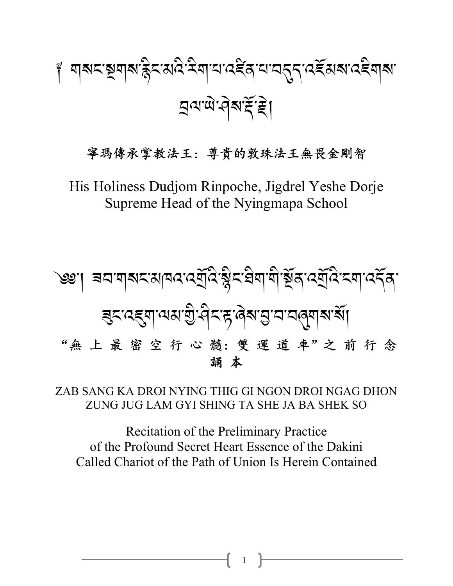# ේ অথমস্থিনাৰ স্কুমন্ত্ৰে মুখ্য দেৱৰ সম্পৰ্কে এই প্ৰাৰম্ভ কৰি স प्रयाल वेबाई है।

#### 寧瑪傳承掌教法王: 尊貴的敦珠法王無畏金剛智

His Holiness Dudjom Rinpoche, Jigdrel Yeshe Dorje Supreme Head of the Nyingmapa School



ZAB SANG KA DROI NYING THIG GI NGON DROI NGAG DHON ZUNG JUG LAM GYI SHING TA SHE JA BA SHEK SO

**Recitation of the Preliminary Practice** of the Profound Secret Heart Essence of the Dakini Called Chariot of the Path of Union Is Herein Contained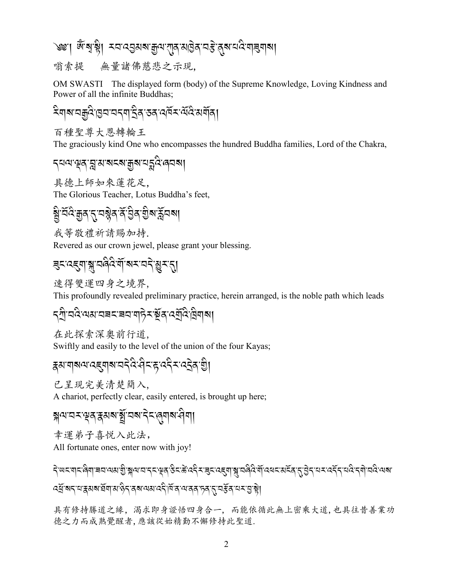#### ৩৩:। জুৰে.ধ্ৰু। ±অত্ৰীপৰ্যমিদ্ৰ এটি এৰি.বেষ্ট্ৰ প্ৰস্তাৱ্বী সা

無量諸佛慈悲之示現. 嗡索提

OM SWASTI The displayed form (body) of the Supreme Knowledge, Loving Kindness and Power of all the infinite Buddhas;

ঽয়য়য়য়ৣঽড়য়য়ঽৼয়ৼৢঀৼঽৼ৻৻৻৻৻৻ৼ৻৻৻৻

百種聖尊大恩轉輪王

The graciously kind One who encompasses the hundred Buddha families, Lord of the Chakra,

#### *৲*ঘঝ'ৠঽ'য়ৢ'য়'য়ঽয়'<u>য়ৣ</u>য়'ঘহৣঽ 'ঀঽয়৷

具德上師如來蓮花足, The Glorious Teacher, Lotus Buddha's feet,

# য়ৢ৾৽ঽড়৺ৼ৴য়৾ৼ৻৸ৼৣৼ৻ৼ৻৸ৼ৻ৼ৻৸৸

我等敬禮祈請賜加持.

Revered as our crown jewel, please grant your blessing.

# <u> बुदादह्याञ्चातवेदेर्याञ्चरातदेखिरारी</u>

速得雙運四身之境界,

This profoundly revealed preliminary practice, herein arranged, is the noble path which leads

# *৲ণ*ী'ঘণ্ড অথ'ঘৰহ'ৰয'ণা6়হ'ষ্টুৰ'বে<u>ণ</u>্ড্ৰি দ্ৰিণাৰা|

在此探索深奥前行道. Swiftly and easily to the level of the union of the four Kayas;

# ह्यायाब्यादह्यबाद्यदेदेखेदाहाददैदादट्रेवाण्डी

已呈現完美清楚簡入, A chariot, perfectly clear, easily entered, is brought up here;

য়ৢৢ৽৸ৼ৸ৼড়ঽৼৢয়য়ৼয়ৢ৾ৼঢ়৶ৼ৻ৼ৻ড়য়৸ৼঀয়

幸運弟子喜悦入此法,

All fortunate ones, enter now with joy!

၎៝៝៝୴ଽ୕୴ଽୖ୲ଵୗ୶୲ଵୖଽ୲୶୶ଌୖ୲ୢଌୗ୶୲ଽୗଽଽୖଽ୶ୡୢଌଽୢଌ୕୰ୢୄଽ୰ଌୖଽୖ୵ଌଌୖଽ୰ଌୗଌୗଌୗଌୗଌୗୢ୰ଌୗୢ୰ଌ୕ଌୣ୰ଌୗୢ୰ଌୖଽୗଌୗଽ୰ଌ୶ *ঽ*ঀॖॕॱॺॸॱय़ॱয়ৢয়য়ॱয়ঀৗয়ॱৡ৴য়য়৾৾৻য়য়য়৻ঽ৻৻৸ৣৼঢ়ড়ৼ৸ৼঀৼঀৗড়৸

具有修持勝道之緣, 渴求即身證悟四身合一, 而能依循此無上密乘大道,也具往昔善業功 德之力而成熟覺醒者,應該從始精勤不懈修持此聖道.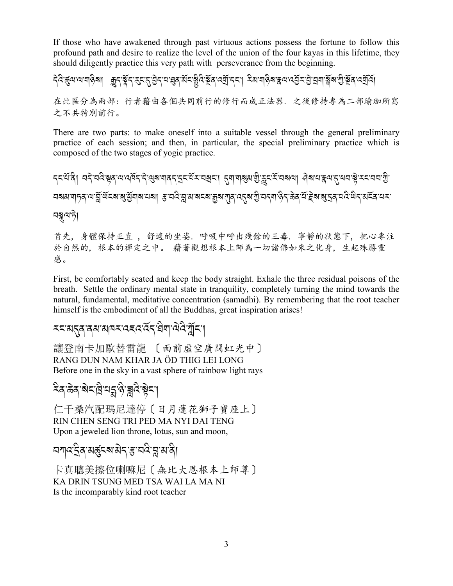If those who have awakened through past virtuous actions possess the fortune to follow this profound path and desire to realize the level of the union of the four kayas in this lifetime, they should diligently practice this very path with perseverance from the beginning.

在此區分為兩部: 行者藉由各個共同前行的修行而成正法器. 之後修持專為二部瑜珈所寫 之不共特別前行。

There are two parts: to make oneself into a suitable vessel through the general preliminary practice of each session; and then, in particular, the special preliminary practice which is composed of the two stages of yogic practice.

रहतूर पुर्वाज्ञ पर्वत्र से जानपूर्वन स्वाद्य के अपने पर्वत्र के स्वास के स्वाद्य के स्वाद्य के स्वाद्य के स्वा <u>ଘৰুৱাৱীৰ পেন্দ্ৰীজ্যৰ পৰিৱাৰ আৰু পিতৃতি বিভিন্ন প্ৰকাৰ পৰি প্ৰতি বিভিন্ন প্ৰতি কৰি বুলি প</u> নন্নামণ্টা

首先, 身體保持正直, 舒適的坐姿, 呼吸中呼出殘餘的三毒, 寧靜的狀態下, 把心專注 於自然的, 根本的禪定之中。 藉著觀想根本上師為一切諸佛如來之化身, 生起殊勝靈 感。

First, be comfortably seated and keep the body straight. Exhale the three residual poisons of the breath. Settle the ordinary mental state in tranquility, completely turning the mind towards the natural, fundamental, meditative concentration (samadhi). By remembering that the root teacher himself is the embodiment of all the Buddhas, great inspiration arises!

#### *≍*খেনুৰ ৰম'মাৰ্ম'বৰ্বেইন'ষীমা নিষ্ট্ৰানা

讓登南卡加歐替雷龍 〔面前虛空廣闊虹光中〕 RANG DUN NAM KHAR JA ÖD THIG LEI LONG Before one in the sky in a vast sphere of rainbow light rays

#### ঽ৶ৼড়ৼ৻ড়৻য়ৼয়৻ড়৻ড়৻ৼ

仁千桑汽配瑪尼達停〔日月蓮花獅子寶座上〕 RIN CHEN SENG TRI PED MA NYI DAI TENG Upon a jeweled lion throne, lotus, sun and moon,

#### <u>বশ্বইৰ মৰ্কুৎৰামৰ স্থান বিদ্</u>নামানী

卡真聰美擦位喇嘛尼〔無比大恩根本上師尊〕 KA DRIN TSUNG MED TSA WAI LA MA NI Is the incomparably kind root teacher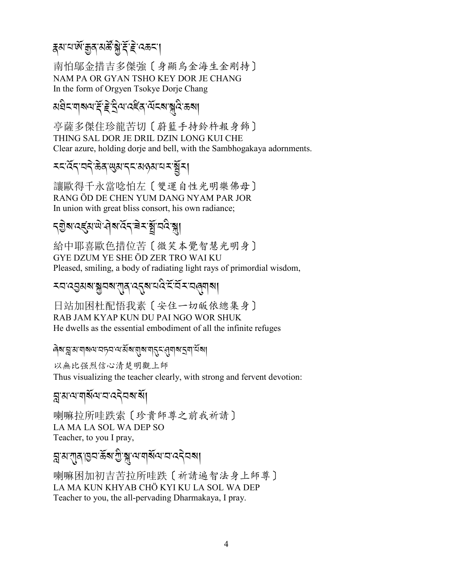## ङ्ग्याल<sub>्</sub>यास्त्रे अस्ति सिंहिन्द्रव्या

南怕鄔金措吉多傑強〔身顯烏金海生金剛持〕 NAM PA OR GYAN TSHO KEY DOR JE CHANG In the form of Orgyen Tsokye Dorje Chang

### য়৾৾য়ৼয়য়ড়৻ৼৼড়ড়ৼড়ৼড়ৼড়ৼড়ৼড়৻ড়ৼড়ৼড়৸

亭薩多傑住珍龍苦切〔蔚籃手持鈴杵報身飾〕 THING SAL DOR JE DRIL DZIN LONG KUI CHE Clear azure, holding dorje and bell, with the Sambhogakaya adornments.

#### য়য়ড়য়য়৸ঀৗৢৼয়ড়য়ৼয়ড়৸ৼৼয়

讓歐得千永當唸怕左〔雙運自性光明樂佛母〕 RANG ÖD DE CHEN YUM DANG NYAM PAR JOR In union with great bliss consort, his own radiance;

#### য়ৢয়ৼ৻য়৻ড়৸ড়৸ড়ৼ৻ড়৸ৼ৻ড়৸ৼ৻ড়৸

給中耶喜歐色措位苦〔微笑本覺智慧光明身〕 GYE DZUM YE SHE ÖD ZER TRO WAI KU Pleased, smiling, a body of radiating light rays of primordial wisdom,

#### 

日站加困杜配悟我素〔安住一切皈依總集身〕 RAB JAM KYAP KUN DU PAI NGO WOR SHUK He dwells as the essential embodiment of all the infinite refuges

#### बिबान्ना साबाब या वाद्या वादी बाबान्ना देवा विका

以無比强烈信心清楚明觀上師 Thus visualizing the teacher clearly, with strong and fervent devotion:

#### য়ৢয়ড়ড়য়য়৻৸ৼ৸ৼৼ

喇嘛拉所哇跌索 [珍貴師尊之前我祈請] LA MA LA SOL WA DEP SO Teacher, to you I pray,

#### য়ৢয়ৼঀৣঀৼড়৸ড়ৢৠড়৻ড়৸ড়৻ড়৻ড়৸ড়৸ড়৸ড়৸ড়৸ড়৸ড়৻

喇嘛困加初吉苦拉所哇跌〔祈請遍智法身上師尊〕 LA MA KUN KHYAB CHÖ KYI KU LA SOL WA DEP Teacher to you, the all-pervading Dharmakaya, I pray.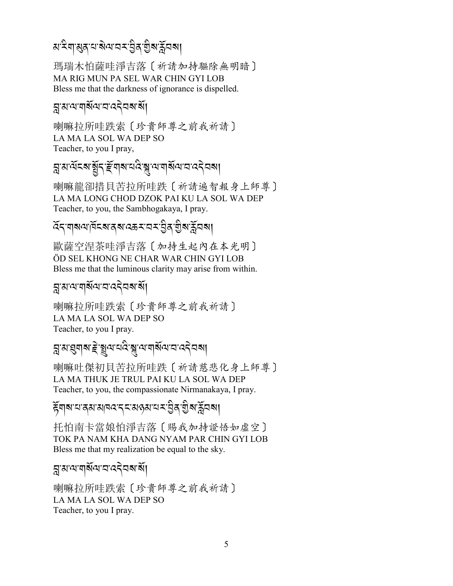# ম'<sup>ই</sup>শ'্ম্ভৰ'<sup>শ</sup>'ৰ স্পৰ্শ প্ৰাপ্ত সম্পূৰ্ণ

瑪瑞木怕薩哇淨吉落〔祈請加持驅除無明暗〕 MA RIG MUN PA SEL WAR CHIN GYI LOB Bless me that the darkness of ignorance is dispelled.

## ন্ন'ম'ম'মৰ্মিম'ম'ন্বইমৰ'ৰ্মা

喇嘛拉所哇跌索〔珍貴師尊之前我祈請〕 LA MA LA SOL WA DEP SO Teacher, to you I pray,

*]-3-=*R*%?-*,R*.-m*R*\$?-0 :* A*-{-=-\$?*R*=-2-:.* J*2?*,

喇嘛龍卻措貝苦拉所哇跌〔祈請遍智報身上師尊〕 LA MA LONG CHOD DZOK PAI KU LA SOL WA DEP Teacher, to you, the Sambhogakaya, I pray.

#### ৰ্দ্দেশ্যৰ পৰিত্ৰা বিদ্যালয়ৰ বিদ্যালয়ৰ স্থাপনি<br>মৃতিকাল বিদ্যালয়ৰ স্থাপনি A Contract of the contract of the contract of the contract of the contract of the contract of the contract of the contract of the contract of the contract of the contract of the contract of the contract of the contract of

歐薩空涅茶哇淨吉落〔加持生起內在本光明〕 ÖD SEL KHONG NE CHAR WAR CHIN GYI LOB Bless me that the luminous clarity may arise from within.

## ন্ন'ম'ম'মৰ্মিম'ম'ন্বইমৰাৰ্মী

喇嘛拉所哇跌索〔珍貴師尊之前我祈請〕 LA MA LA SOL WA DEP SO Teacher, to you I pray.

# *]-3-,\$ ?-e* J*-*3*=-0:* A*-{- =-\$?*R*=-2-:.* J*2 ?*,

喇嘛吐傑初貝苦拉所哇跌〔祈請慈悲化身上師尊〕 LA MA THUK JE TRUL PAI KU LA SOL WA DEP Teacher, to you, the compassionate Nirmanakaya, I pray.

## *हॅ* बाबाय, अन्यान के राजकुल करने के लिए अन्यान के स्वास्था

托怕南卡當娘怕淨吉落〔賜我加持證悟如虛空〕 TOK PA NAM KHA DANG NYAM PAR CHIN GYI LOB Bless me that my realization be equal to the sky.

## ন্ন'ম'ম'মৰ্মিম'ম'ন্বইমৰাৰ্মী

喇嘛拉所哇跌索〔珍貴師尊之前我祈請〕 LA MA LA SOL WA DEP SO Teacher, to you I pray.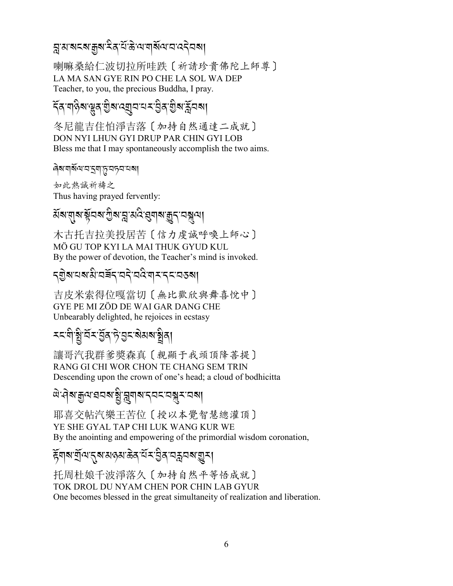#### য়ৢয়য়ৼৼয়৾৾য়৸ৼৢৼ৻৸ৣৼ৻৸য়৻৸৸ৼ৻ৼ

喇嘛桑給仁波切拉所哇跌〔祈請珍貴佛陀上師尊〕 LA MA SAN GYE RIN PO CHE LA SOL WA DEP Teacher, to you, the precious Buddha, I pray.

# <্ৰিণ্ট্ৰাঞ্জুৰ্জুৰা ব্য়ুবাৰ মান্ত্ৰীৰ স্ত্ৰীৰাৰ্ক্ষ্ণবৰা

冬尼龍吉住怕淨吉落〔加持自然通達二成就〕 DON NYI LHUN GYI DRUP PAR CHIN GYI LOB Bless me that I may spontaneously accomplish the two aims.

#### ৰিম'নাৰ্মঝ'ন'হনা'্তৃ'নচন'নমা

如此熱誠祈禱之 Thus having prayed fervently:

# য়য়য়য়ৼয়য়ৼঢ়ৗৢয়ৼৗৼ৻৻ৼঀয়৸য়ঀৼ৻৸য়

木古托吉拉美投居苦〔信力虔誠呼喚上師心〕 MÖ GU TOP KYI LA MAI THUK GYUD KUL By the power of devotion, the Teacher's mind is invoked.

#### **รุ**ฏิสเตสเสิเตสิราตริเตสิเขา : 25 ตุ

吉皮米索得位嘎當切〔無比歡欣與舞喜悅中〕 GYE PE MI ZÖD DE WAI GAR DANG CHE Unbearably delighted, he rejoices in ecstasy

# *৲*মণীষ্ট্ৰ'ৰ্মমণ্ট্ৰৰ দি'ন্তমজ্ঞাৰাজ্ঞৰ।

讓哥汽我群爹獎森真 [親顯于我頭頂降菩提] RANG GI CHI WOR CHON TE CHANG SEM TRIN Descending upon the crown of one's head; a cloud of bodhicitta

#### ঐ<sup>:</sup>ঀ৾ঌ৾য়ৢ৻য়ৼঽঽয়৾য়ৣ৾ৼড়ৗ৶ৼ৴ড়ৼৼড়৾য়ৼ৻ড়৶

耶喜交帖汽樂王苦位〔授以本覺智慧總灌頂〕 YE SHE GYAL TAP CHI LUK WANG KUR WE By the anointing and empowering of the primordial wisdom coronation,

#### <del>য়</del>ॖॕॺॹॎॖॖॕॺॱॸॣॺॱॺढ़ॺॱढ़॓ॺॱ<sup>ॶ</sup>ॸॱऄॖॖॺॱय़क़ॣय़ॺॱग़ॗॸऻ

托周杜娘千波淨落久〔加持自然平等悟成就〕 TOK DROL DU NYAM CHEN POR CHIN LAB GYUR One becomes blessed in the great simultaneity of realization and liberation.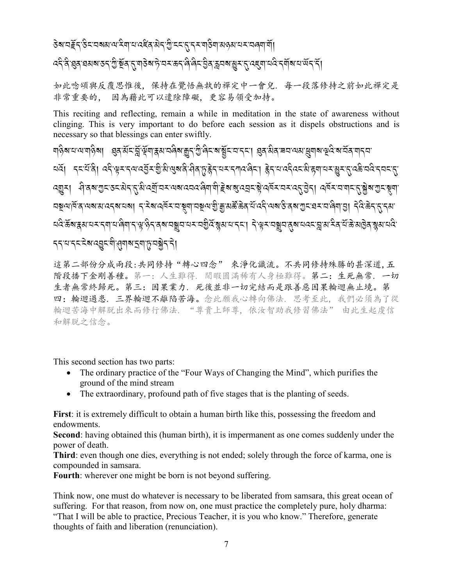#### *५*दि झुद घस्र उद्गुष्ट्रें दुर्गतु बड़े अर्हे प्रत्युत्त के लेखित हुन् क्रूप बालु र तु पहुंचा पदि दुर्गता अर्व द

如此唸頌與反覆思惟後,保持在覺悟無執的禪定中一會兒,每一段落修持之前如此禪定是 非常重要的, 因為藉此可以遣除障礙、更容易領受加持。

This reciting and reflecting, remain a while in meditation in the state of awareness without clinging. This is very important to do before each session as it dispels obstructions and is necessary so that blessings can enter swiftly.

য়৾ৡয়ৼ৾ৼয়ৼৗৡ৶ঢ়ৼৠৼয়ৣৼয়ৣৼয়য়ড়৸ৼয়ৼঢ়ড়৻য়ৢৼ৻য়৸ৼঢ়ৼঢ়৻৸ৼঢ়ৼঢ়৸ড়৸ৼঢ়৸ৼ৸ৼঢ়ৼঢ়৻ড়৸ৼঢ়ৼ৻ৼ৸ৼ৻৸ <u>यत्रं। ददर्घवे। ददेश्वरादयादव्यरश</u>ुभ्रालुबादे:सेवाप्नुहेदायरादगवदा। हेदायाददेवदभ्राह्मायराधुराद्गदक्षेत्रवेददयदा ৰ্যুম। ধ্বিৰাশ্যুমঙ্মষ্টাব্দু, মিত্ৰ্যুত্মমৰেলৰে ৰিমামী ট্ৰুৰাৰ্যৰ মুখ্য বৰ্ষমত্ৰ বৰ্ত্তিম। বৰ্ষমত্ৰাত্মৰ মুখ্য মুখ্য <u> বহুনান্ত্ৰ নেৰামানবৰানৰ। বাইৰান্ত্ৰমান মুনানমুনায়ু শ্ৰীয়াপুত্ত্বপূত্ৰৰ ব</u>েত্ৰৰ এই প্ৰয়োত্ত্বসাত্ৰ। বুৰুত্ত্বপূত্ৰ <u>ҵदेऊूँथ र अन्नाता सुन्नाता सुन्नाता सुन्नाता सुन्नाता र सुन्नाता सुन्नाता सुन्नाता सुन्नाता सुन्नाता सुन्नाता स</u> **รระบรระสะสะจำสมสร**มชะมี

這第二部份分成兩段:共同修持"轉心四念"來淨化識流。不共同修持殊勝的甚深道,五 階段播下金剛善種。第一: 人生難得. 閒暇圓滿稀有人身極難得。第二: 生死無常. 一切 生者無常終歸死。第三:因果業力. 死後並非一切完結而是跟善惡因果輪迴無止境。第 四: 輪迴過患. 三界輪迴不離陷苦海。念此願我心轉向佛法. 思考至此. 我們必須為了從 輪迴苦海中解脱出來而修行佛法。"尊貴上師尊。依汝智助我修習佛法" 由此生起虔信 和解脱之信念。

This second section has two parts:

- The ordinary practice of the "Four Ways of Changing the Mind", which purifies the  $\bullet$ ground of the mind stream
- $\bullet$ The extraordinary, profound path of five stages that is the planting of seeds.

First: it is extremely difficult to obtain a human birth like this, possessing the freedom and endowments.

Second: having obtained this (human birth), it is impermanent as one comes suddenly under the power of death.

Third: even though one dies, everything is not ended; solely through the force of karma, one is compounded in samsara.

Fourth: wherever one might be born is not beyond suffering.

Think now, one must do whatever is necessary to be liberated from samsara, this great ocean of suffering. For that reason, from now on, one must practice the completely pure, holy dharma: "That I will be able to practice, Precious Teacher, it is you who know." Therefore, generate thoughts of faith and liberation (renunciation).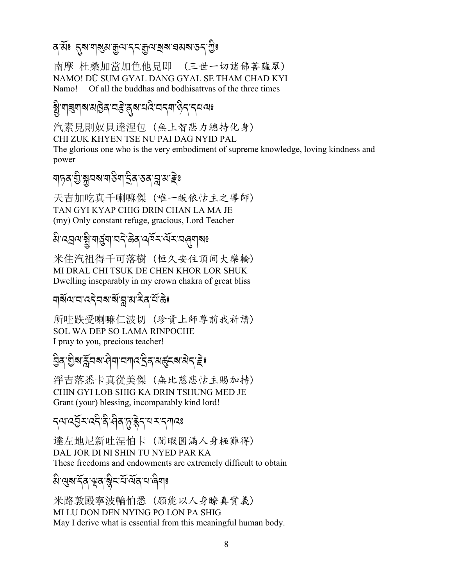南摩 杜桑加當加色他見即 (三世一切諸佛菩薩眾) NAMO! DÜ SUM GYAL DANG GYAL SE THAM CHAD KYI Namo! Of all the buddhas and bodhisattvas of the three times

# <u>ৡ</u>ऀॱয়ৠয়য়য়ড়ৢঽৼঽৼড়য়য়ড়৻ৼড়৻ড়৸ড়ড়ৼঢ়ড়ড়

汽素見則奴貝達涅包 (無上智悲力總持化身) CHI ZUK KHYEN TSE NU PAI DAG NYID PAL

The glorious one who is the very embodiment of supreme knowledge, loving kindness and power

## য়ঢ়য়ৼ৾৾ৢয়ৢয়য়য়ঀ৾য়ঀৼৢয়ৼঀৼঀৗ

天吉加吃真千喇嘛傑 (唯一皈依怙主之導師) TAN GYI KYAP CHIG DRIN CHAN LA MA JE (my) Only constant refuge, gracious, Lord Teacher

# ঌ৾ॱঽয়৽ৼ৾য়ৢ৾ॱয়ড়ৢয়৾ৼঢ়ৼড়ৠড়৻ড়৻ড়৸ৼ৻ড়৸ৼ৽

米住汽祖得千可落樹 (恒久安住頂间大樂輪) MI DRAL CHI TSUK DE CHEN KHOR LOR SHUK Dwelling inseparably in my crown chakra of great bliss

#### 

所哇跌受喇嘛仁波切 (珍貴上師尊前我祈請) **SOL WA DEP SO LAMA RINPOCHE** I pray to you, precious teacher!

#### 

淨吉落悉卡真從美傑 (無比慈悲怙主賜加持) CHIN GYI LOB SHIG KA DRIN TSHUNG MED JE Grant (your) blessing, incomparably kind lord!

# *ॸॺॱঽ*ঽॖॕ<sup></sup>ঽॱঽदऀॱቒऀॱঀऀॺॱঢ়ॖॱङ्केॸॱय़ॺॱॸग़ढ़ॎ៖

達左地尼新叶涅怕卡 (閒暇圓滿人身極難得) DAL JOR DI NI SHIN TU NYED PAR KA These freedoms and endowments are extremely difficult to obtain

#### ঌ৾ॱঀुब दॅत भूव ब्लैद यॅ वॅत या बेग :

米路敦殿寧波輪怕悉 (願能以人身瞭真實義) MI LU DON DEN NYING PO LON PA SHIG May I derive what is essential from this meaningful human body.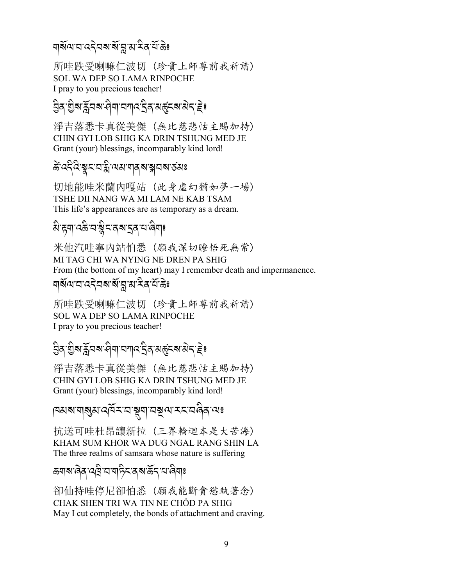## শৰ্ম্মশানাৰ বিভিন্ন সম্পৰ্কী সম্পৰ্কী

所哇跌受喇嘛仁波切 (珍貴上師尊前我祈請) SOL WA DEP SO LAMA RINPOCHE I pray to you precious teacher!

#### *L* A*/-I* A*?-\_*R*2?-> \$-2!:- S* A*/-35%?-3* J*.-e*J; .<br>.<br>.

淨吉落悉卡真從美傑 (無比慈悲怙主賜加持) CHIN GYI LOB SHIG KA DRIN TSHUNG MED JE Grant (your) blessings, incomparably kind lord!

#### कें*:द*द्दिश्वद्रायक्षाबादश्वद्रावारु अ A<br>A

切地能哇米蘭內嘎站 (此身虛幻猶如夢一場) TSHE DII NANG WA MI LAM NE KAB TSAM This life's appearances are as temporary as a dream.

# $\hat{\mathrm{a}}$ 'ह्या्'दक्षे'दाद्रूष्'द्रुत्'य'लेयाः

米他汽哇寧內站怕悉 (願我深切暸悟死無常) MI TAG CHI WA NYING NE DREN PA SHIG From (the bottom of my heart) may I remember death and impermanence.

## শৰ্ম্মশানাৰ বিভিন্ন প্ৰাপনীৰ বিভিন্ন<br>শৰ্ম

所哇跌受喇嘛仁波切 (珍貴上師尊前我祈請) SOL WA DEP SO LAMA RINPOCHE I pray to you precious teacher!

#### **a**<br>Bar�a: Trandalar Sara .<br>.<br>.

淨吉落悉卡真從美傑 (無比慈悲怙主賜加持) CHIN GYI LOB SHIG KA DRIN TSHUNG MED JE Grant (your) blessings, incomparably kind lord!

# pa<mark>a ala aparta a contrava a contrava a contrava a contrava a contrava a contrava a contrava a contrava a contr</mark><br>Partida a contrava a contrava a contrava a contrava a contrava a contrava a contrava a contrava a contrava a

抗送可哇杜昂讓新拉 (三界輪迴本是大苦海) KHAM SUM KHOR WA DUG NGAL RANG SHIN LA The three realms of samsara whose nature is suffering

ಹম্মন্জিৰ্ বেশ্ৰি বাম্পিকৰ্ম ৰ্জন্ বাজিমাঃ

卻仙持哇停尼卻怕悉 (願我能斷貪慾執著念) CHAK SHEN TRI WA TIN NE CHÖD PA SHIG May I cut completely, the bonds of attachment and craving.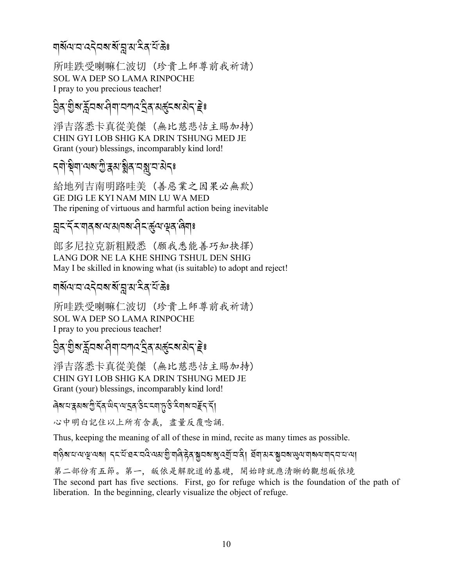## শৰ্ম্মশানাৰ বিভিন্ন সম্পৰ্কী সম্পৰ্কী

所哇跌受喇嘛仁波切 (珍貴上師尊前我祈請) SOL WA DEP SO LAMA RINPOCHE I pray to you precious teacher!

#### *L* A*/-I* A*?-\_*R*2?-> \$-2!:- S* A*/-35%?-3* J*.-e*J; .<br>.<br>.

淨吉落悉卡真從美傑 (無比慈悲怙主賜加持) CHIN GYI LOB SHIG KA DRIN TSHUNG MED JE Grant (your) blessings, incomparably kind lord!

# ্ৰীষ্ট্ৰশ'ম্মৰ'ম্ভ্ৰীৰ বৰ্ষ্ণু নামৰ

給地列吉南明路哇美 (善惡業之因果必無欺) GE DIG LE KYI NAM MIN LU WA MED The ripening of virtuous and harmful action being inevitable

## ন্ন<`ৰ্ব<sup>্</sup>শৰ্মৰ্শমেৰেৰ্ম্ব\ৰ্ত্ত্ৰ্ম্পৰ্ক্ষ্ণৰ

郎多尼拉克新粗殿悉 (願我悉能善巧知抉擇) LANG DOR NE LA KHE SHING TSHUL DEN SHIG May I be skilled in knowing what (is suitable) to adopt and reject!

## শৰ্ম্মশানাৰ বিভিন্ন প্ৰাপনীৰ বিভিন্ন<br>শৰ্ম

所哇跌受喇嘛仁波切 (珍貴上師尊前我祈請) SOL WA DEP SO LAMA RINPOCHE I pray to you precious teacher!

#### *L* A*/-I* A*?-\_*R*2?-> \$-2!:- S* A*/-35%?-3* J*.-e*J; .<br>.<br>.

淨吉落悉卡真從美傑 (無比慈悲怙主賜加持) CHIN GYI LOB SHIG KA DRIN TSHUNG MED JE Grant (your) blessings, incomparably kind lord!

#### ৰিৰ মন্ত্ৰীৰ বিদ্যালয়ৰ বিদ্যালয়ৰ বিদ্যালয় কৰি সমী A

心中明白記住以上所有含義, 盡量反覆唸誦.

Thus, keeping the meaning of all of these in mind, recite as many times as possible.

#### শ্পীৰাম্যান্মন্দ্ৰাৰা *দ্*যান্ত্ৰিয়াৰ্ল্য স্প্ৰান্ত স্প্ৰান্ত স্প্ৰয়ে স্প্ৰান্ত স্প্ৰান্ত স্প্ৰান্ত স্প্ৰয়ে স্প A

第二部份有五節。第一, 皈依是解脫道的基礎, 開始時就應清晰的觀想皈依境 The second part has five sections. First, go for refuge which is the foundation of the path of liberation. In the beginning, clearly visualize the object of refuge.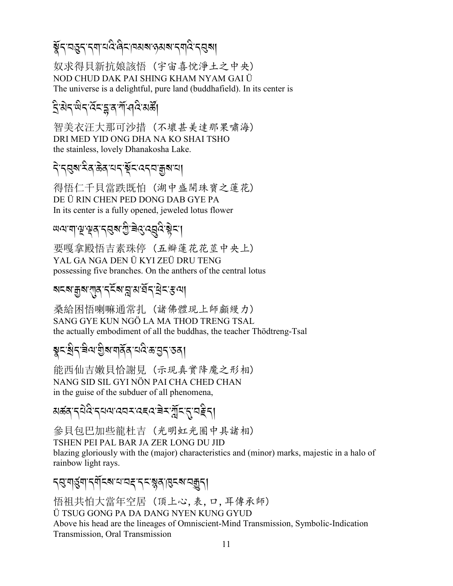# ङ्केन वहन नया वदे बिनावसब रुसबानयदि नसुबा

奴求得貝新抗娘該悟(宇宙喜悅淨土之中央) NOD CHUD DAK PAI SHING KHAM NYAM GAI Ü The universe is a delightful, pure land (buddhafield). In its center is

# ঽৢ৾য়ৼড়ৼ৻ৼৄৼৼৼৼৼ৻৸৻৸৻

智美衣汪大那可沙措 (不壞甚美達那果嘯海) DRI MED YID ONG DHA NA KO SHAI TSHO the stainless, lovely Dhanakosha Lake.

#### दे दुबारेव केव यद यूँद ददव क्रुबाया

得悟仁千貝當跌既怕(湖中盛開珠寶之蓮花) DE ÜRIN CHEN PED DONG DAB GYE PA In its center is a fully opened, jeweled lotus flower

#### *ਘવ*ਾया भू भूव न् सूब गु चे दु द् वू दे स्नेन् ।

要嘎拿殿悟吉素珠停 (五瓣蓮花花莖中央上) YAL GA NGA DEN Ü KYI ZEÜ DRU TENG possessing five branches. On the anthers of the central lotus

#### য়ৼয়ড়ৢয়ৼঀৗৣঀৼৼ৻ৼ৻ৼ৻ৼ৻৸য়৸৻য়৸ৼঀ৸

桑給困悟喇嘛通常扎 (諸佛體現上師顱縵力) SANG GYE KUN NGÖ LA MA THOD TRENG TSAL the actually embodiment of all the buddhas, the teacher Thödtreng-Tsal

## য়ৢ৲৾য়ঀড়য়৸য়ৣ৾য়ৼঢ়ঀৼ৻ড়৻য়৻৸ড়৸

能西仙吉嫩貝恰謝見(示現真實降魔之形相) NANG SID SIL GYI NÖN PAI CHA CHED CHAN in the guise of the subduer of all phenomena,

# 

參貝包巴加些龍杜吉(光明虹光圈中具諸相) TSHEN PEI PAL BAR JA ZER LONG DU JID blazing gloriously with the (major) characteristics and (minor) marks, majestic in a halo of

rainbow light rays. ॸॶॱग़ॶॖ॔ग़ॱॸॺऀ॔ॸॺॱय़ॱय़ड़ॱॸॸॱॺॢॺॱॶॎॸॺॱय़क़ॗॸ**ॎ** 

悟祖共怕大當年空居 (頂上心,表,口,耳傳承師) Ü TSUG GONG PA DA DANG NYEN KUNG GYUD Above his head are the lineages of Omniscient-Mind Transmission, Symbolic-Indication Transmission, Oral Transmission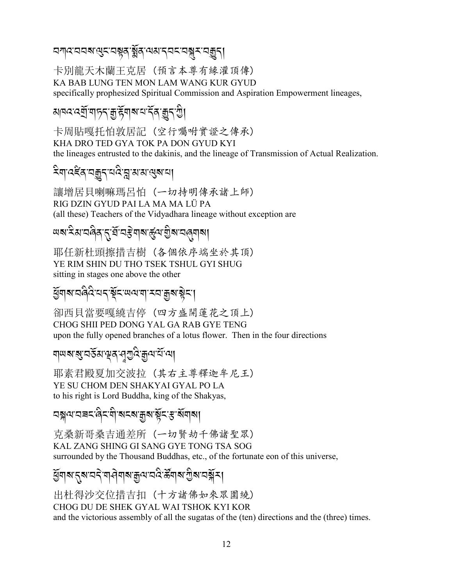<u>ଘଐ୯.ସସର ଜିଅ ଅଞ୍ଚି । ସୁଷ୍କାର ଜଣା ଅବସ୍ଥା ।</u>

卡別龍天木蘭王克居(預言本尊有緣灌頂傳) KA BAB LUNG TEN MON LAM WANG KUR GYUD specifically prophesized Spiritual Commission and Aspiration Empowerment lineages,

# <u> ঝৰ্ম্ব্ৰ্ম্ব্ৰ্ম্ব্ৰ্ম্ব্ৰ্ম্ব্ৰ্ম্ব্ৰ্ম্ব্ৰ্ম্ব্ৰ্মী</u>

卡周貼嘎托怕敦居記 (空行囑咐實證之傳承) KHA DRO TED GYA TOK PA DON GYUD KYI the lineages entrusted to the dakinis, and the lineage of Transmission of Actual Realization.

讓增居貝喇嘛瑪呂怕 (一切持明傳承諸上師) RIG DZIN GYUD PAI LA MA MA LÜ PA (all these) Teachers of the Vidyadhara lineage without exception are

# 

耶任新杜頭擦措吉樹 (各個依序端坐於其頂) YE RIM SHIN DU THO TSEK TSHUL GYI SHUG sitting in stages one above the other

# *ୱି*ସାବ୍ୟାସ୍ଥିତ୍ୟ । ସୁସେଷ୍ଟ୍ରମାନ୍ୟ । ସୁସେଷ୍ଟ୍ରମା

卻西貝當要嘎繞吉停(四方盛開蓮花之頂上) CHOG SHII PED DONG YAL GA RAB GYE TENG upon the fully opened branches of a lotus flower. Then in the four directions

# য়ড়য়ৼয়ৼঢ়ঀৣৼ৻৸৸৸৸

耶素君殿夏加交波拉 (其右主尊釋迦牟尼王) YE SU CHOM DEN SHAKYAI GYAL PO LA to his right is Lord Buddha, king of the Shakyas,

ଘৠ৸ৼ৸ৼৼড়৸ৼ৻ড়৸ৼ৻ড়৸ৼ৻ৼ৸ৼ৻ড়৸৸

克桑新哥桑吉通差所 (一切賢劫千佛諸聖眾) KAL ZANG SHING GI SANG GYE TONG TSA SOG surrounded by the Thousand Buddhas, etc., of the fortunate eon of this universe,

# য়ৄয়৶ৼৼয়ৼ৸ৼৗড়ৗৼয়ৼঀৗ৻৸ৼঢ়ড়৻৸ড়ঢ়৸ৼঢ়ড়৻৸য়৾

出杜得沙交位措吉扣 (十方諸佛如來眾圍繞) CHOG DU DE SHEK GYAL WAI TSHOK KYI KOR and the victorious assembly of all the sugatas of the (ten) directions and the (three) times.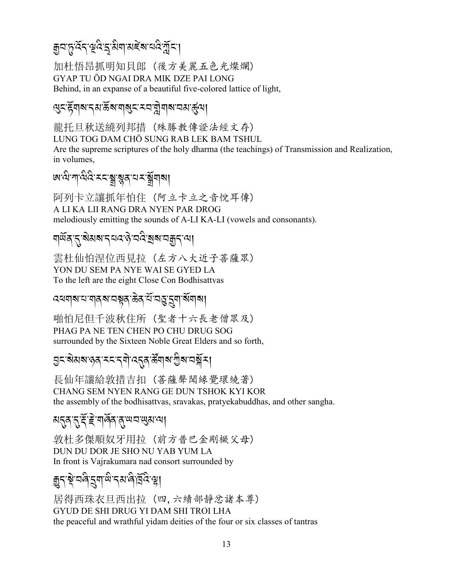# য়৸৸৻৸ৼঢ়ড়ড়ৼয়৻৸৸৻ৼঀ৻য়৻৸৻

加杜悟昂抓明知貝郎 (後方美麗五色光燦爛) GYAP TU ÖD NGAI DRA MIK DZE PAI LONG Behind, in an expanse of a beautiful five-colored lattice of light,

#### ড়৲ৼয়য়য়ৼঀয়ড়য়য়য়ঀয়ৼৼয়ড়ৗৢয়ঀয়ৼঀয়ড়ৢ৻য়

龍托旦秋送繞列邦措 (殊勝教傳證法經文存) LUNG TOG DAM CHÖ SUNG RAB LEK BAM TSHUL Are the supreme scriptures of the holy dharma (the teachings) of Transmission and Realization, in volumes.

# <u> অত্মলান্</u>মন্ত্র স্থান্ত্রনামস্মান্ত্র

阿列卡立讓抓年怕住 (阿立卡立之音悅耳傳) A LI KA LII RANG DRA NYEN PAR DROG melodiously emitting the sounds of A-LI KA-LI (vowels and consonants).

#### য়ড়ঀৼ৻ৼ৶য়৸ৼৼ৻৻৻৻৻৻৻৻৻৻৻৻৻৻৻৻৻৻৻৻৻৻৻৻৻৻৻৻

雲杜仙怕涅位西見拉 (左方八大近子菩薩眾) YON DU SEM PA NYE WAI SE GYED LA To the left are the eight Close Con Bodhisattvas

#### *ঽ*ख़ॺऻॺॱय़ॱॺऻॺॖॺॱय़ख़ॶढ़ॱऄऀॱय़ॷॱय़ॖॺॱॺॕॺऻॺऻ

啪怕尼但千波秋住所 (聖者十六長老僧眾及) PHAG PA NE TEN CHEN PO CHU DRUG SOG surrounded by the Sixteen Noble Great Elders and so forth,

<mark>ॖ</mark>ड़ॱऄॳॺॱॶॺॱॸड़ॱॸॺॏॱढ़य़ॺॱक़ऀॺऻॴॱॻॖऀॺॱय़ऄॕॗड़ऻ

長仙年讓給敦措吉扣 (菩薩聲聞緣覺環繞著) CHANG SEM NYEN RANG GE DUN TSHOK KYI KOR the assembly of the bodhisattvas, sravakas, pratyekabuddhas, and other sangha.

#### अनुव नुःदे हे यार्वेव वु सय सुरा त्या

敦杜多傑順奴牙用拉 (前方普巴金剛橛父母) DUN DU DOR JE SHO NU YAB YUM LA In front is Vajrakumara nad consort surrounded by

#### য়ৢ৸ৼৗৢ৻৸ড়৸ৼ৻৸৻৸৻৸ঢ়ঀ৻

居得西珠衣旦西出拉 (四,六續部靜忿諸本尊) GYUD DE SHI DRUG YI DAM SHI TROI LHA the peaceful and wrathful yidam deities of the four or six classes of tantras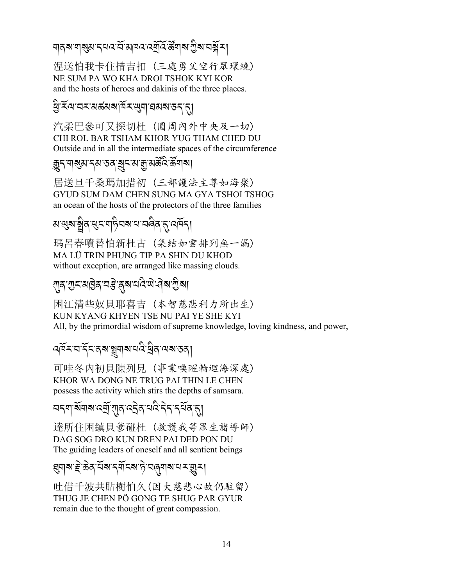#### য়৶৶য়৾৶ৼ৴৸৻ৼৄৣৼ৸ৼ৻ৼ৻য়ৢ৻ৼ৻ৼৢ৻৸৸য়ৢ৸৻৸ৼ৸ৼ

涅送怕我卡住措吉扣 (三處勇父空行眾環繞) NE SUM PA WO KHA DROI TSHOK KYI KOR and the hosts of heroes and dakinis of the three places.

#### 

汽柔巴參可又探切杜 (圓周內外中央及一切) CHI ROL BAR TSHAM KHOR YUG THAM CHED DU Outside and in all the intermediate spaces of the circumference

#### <u> क</u>ुद्रायाञ्जुष्ठा दुष्तः उत्र चुरु असु सुरु अस्तु अस्तु अप

居送旦千桑瑪加措初(三部護法主尊如海聚) GYUD SUM DAM CHEN SUNG MA GYA TSHOI TSHOG an ocean of the hosts of the protectors of the three families

#### अः सुरुः श्लेदः सुरूः यद्निरुषः सः सर्वेदः सुर्यवेद।

瑪呂春噴替怕新杜古 (集結如雲排列無一漏) MA LÜ TRIN PHUNG TIP PA SHIN DU KHOD without exception, are arranged like massing clouds.

#### राव गुरासाठेव यङ्के बायदेख वेबाग्रीबा

闲江清些奴貝耶喜吉 (本智慈悲利力所出生) KUN KYANG KHYEN TSE NU PAI YE SHE KYI All, by the primordial wisdom of supreme knowledge, loving kindness, and power,

#### ෬ৰ্মমত্ৰইনৰ্মজুমাৰত্ন দ্ৰীৰ অৰাতৰ্।

可哇冬内初貝陳列見(事業喚醒輪迴海深處) KHOR WA DONG NE TRUG PAI THIN LE CHEN possess the activity which stirs the depths of samsara.

#### 

達所住困鎮貝爹碰杜 (救護我等眾生諸導師) DAG SOG DRO KUN DREN PAI DED PON DU The guiding leaders of oneself and all sentient beings

#### য়ৢঀয়ৼৗৼড়ৠৼৢৼৢৼ৻৸৸ৼ৻৸৸৸ৼ৻ড়৸

吐借千波共貼樹怕久(因大慈悲心故仍駐留) THUG JE CHEN PÖ GONG TE SHUG PAR GYUR remain due to the thought of great compassion.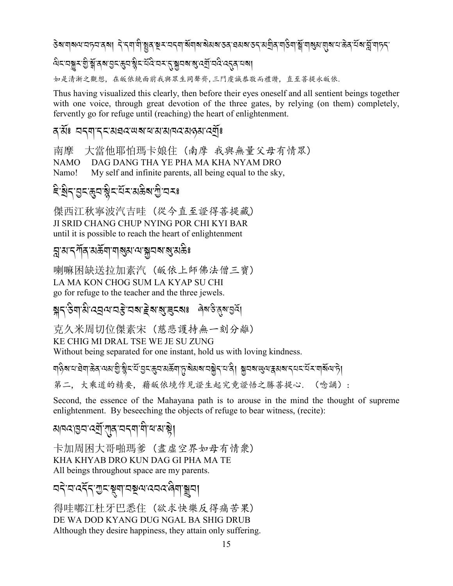#### ङेबायाब्ग्याञ्चन्नावब्ग् निन्नामोञ्चुवाञ्चराञ्चमाबॅग्वाबाब्रेसबाउवाद्यसबाङ्गाब्रुवाञ्चाब्रुमाबुसासुबायाऊेवार्यबा .<br>. A  $\alpha$ kবায়ুমণ্ড্রি<sup>,</sup> র্মুন বার্ম গ্রন্থ প্রনিষ্ট্র ব্রার্ম ব্রান্ত ব্রান্ত ব্রান্ত ব্রান্ত ব্রান্ত ব্রান্ত ব্রা 如是清淅之觀想, 在皈依鏡面前我與眾生同聲齊,三門虔誠恭敬而禮讚, 直至菩提永皈依.

Thus having visualized this clearly, then before their eyes oneself and all sentient beings together with one voice, through great devotion of the three gates, by relying (on them) completely, fervently go for refuge until (reaching) the heart of enlightenment.

#### ৰ<sup>:</sup>য়ঁঃ অন্মান্নয়েৱন অমাৰামানৰ মণ্ডমাৰ্মীঃ

南摩 大當他耶怕瑪卡娘住 (南摩 我與無量父母有情眾) NAMO DAG DANG THA YE PHA MA KHA NYAM DRO Namo! My self and infinite parents, all being equal to the sky,

#### दे:ब्रुट्-द्भुट्-द्भुट्-द्भूट्-द्राञ्चल्ला अर्व्यं स्टब्स् A

傑西江秋寧波汽吉哇 (從今直至證得菩提藏) JI SRID CHANG CHUP NYING POR CHI KYI BAR until it is possible to reach the heart of enlightenment

#### *]-3-.!*R*/-3(*R*\$-\$?3- =-*\**2?-?-3 (*A;

喇嘛困缺送拉加素汽 (皈依上師佛法僧三寶) LA MA KON CHOG SUM LA KYAP SU CHI go for refuge to the teacher and the three jewels.

## **ক্স**ন্<sup>,</sup> ইন্ম্প্ৰাপ্ৰান্ত্ৰ ক্ষম্ৰান্ত্ৰ ক্ষম্ৰান্ত্ৰ ক্ষম্ৰান্ত্ৰ ক্ষম্ৰান্ত্ৰ ক্ষম্ৰান্ত্ৰ ক্ষম্ৰান্ত্ৰ ক্ষম্ৰান্ত্ৰ

克久米周切位傑素宋 (慈悲護持無一刻分離) KE CHIG MI DRAL TSE WE JE SU ZUNG Without being separated for one instant, hold us with loving kindness.

ণবিৰাম প্ৰশাস্ত্ৰৰ পৰাত্ম ষ্টু ইন্মুন্দ্ৰ প্ৰয়োত্তৰ বিৰাজ্য কৰি পৰি প্ৰয়োত্তৰ পৰি প্ৰয়োত্তৰ পৰি প A 第二, 大乘道的精要, 藉皈依境作見證生起究竟證悟之勝菩提心. (唸誦):

Second, the essence of the Mahayana path is to arouse in the mind the thought of supreme enlightenment. By beseeching the objects of refuge to bear witness, (recite):

#### ম|ন্দৰ্যন্তন'ৰ্মৰ্<sup>:</sup> সূৰ্ব'নন্<sup></sup>ম ৰ'ম'ষ্ট্ৰ| A

卡加周困大哥啪瑪爹 (盡虛空界如母有情衆) KHA KHYAB DRO KUN DAG GI PHA MA TE All beings throughout space are my parents.

ব<ৰ বৰ্ত্ত্ব্ব্ব্য্য বৰ্ত্ত্ব্ব্ব্য বৰ্ত্ত্ব্ব্ব্ব্য <mark>ব</mark>্ৰুষ .<br>.<br>.

得哇嘟江杜牙巴悉住 (欲求快樂反得痛苦果) DE WA DOD KYANG DUG NGAL BA SHIG DRUB Although they desire happiness, they attain only suffering.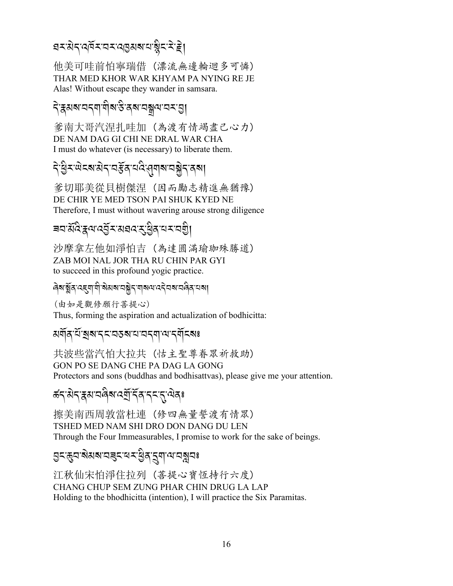## *য়৲*য়৾ঀ৻<u>৾ড়ৼয়ৼ৻৻ঀ৾</u>৶৶য়৻য়ৠৼ৻ৼৢ৻ৼৄ৾৾

他美可哇前怕寧瑞借(漂流無邊輪迴多可憐) THAR MED KHOR WAR KHYAM PA NYING RE JE Alas! Without escape they wander in samsara.

#### ঀৼয়য়য়ৼ৸য়ৗয়ৼ৻

爹南大哥汽涅扎哇加(為渡有情竭盡己心力) DE NAM DAG GI CHI NE DRAL WAR CHA I must do whatever (is necessary) to liberate them.

# ঀ৾ড়ৢ৴ড়ড়ৼয়ৼ৻৸ৼ৻ড়৸ৼ৻ড়৸৸ৼঢ়ড়৻৸

爹切耶美從貝樹傑涅 (因而勵志精進無猶豫) DE CHIR YE MED TSON PAI SHUK KYED NE Therefore, I must without wavering arouse strong diligence

#### बवार्य्रुपर्युद्रायद्यदार्युद्रिय प्राप्या

沙摩拿左他如淨怕吉 (為達圓滿瑜珈殊勝道) ZAB MOI NAL JOR THA RU CHIN PAR GYI to succeed in this profound yogic practice.

#### बिबाङ्गॅब दह्या यो बेसबा बङ्गे<sub>न</sub> याबय दने वबा बंबेन बंबा

(由如是觀修願行菩提心) Thus, forming the aspiration and actualization of bodhicitta:

**ผ**สัส นักสมธรรมสามารถ สุดีรส

共波些當汽怕大拉共 (怙主聖尊眷眾祈救助) GON PO SE DANG CHE PA DAG LA GONG Protectors and sons (buddhas and bodhisattvas), please give me your attention.

#### *ঌ*॔ॸॱऄॸॱয়য়ৼয়৾ঀয়ৼঽয়ৗৼয়য়ৼৼৼ৻ৼ৾য়য়৽

擦美南西周敦當杜連 (修四無量誓渡有情眾) TSHED MED NAM SHI DRO DON DANG DU LEN Through the Four Immeasurables, I promise to work for the sake of beings.

#### <mark>ॖ</mark>ड़ॱढ़ॖय़ॱॺ॓ॺॺॱय़ॾॖड़ॱॺॸॱॺॖऀॺॱड़ॖॺॱॺॱय़ॺॗय़<mark>ॾ</mark>

江秋仙宋怕淨住拉列 (菩提心寶恆持行六度) CHANG CHUP SEM ZUNG PHAR CHIN DRUG LA LAP Holding to the bhodhicitta (intention), I will practice the Six Paramitas.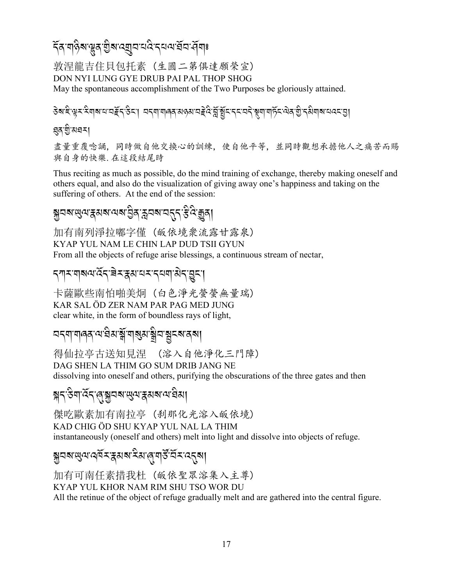#### ঽৄ৶য়৾ড়ৢ৶ড়য়৻য়ৢয়৻ৼয়ৗ৸৻৸৻৸৻৸৻য়৸৻য়৸৽

敦涅龍吉住貝包托素 (生圓二第俱達願榮宣) DON NYI LUNG GYE DRUB PAI PAL THOP SHOG May the spontaneous accomplishment of the Two Purposes be gloriously attained.

डेबाद्देख्र्मः सेवाबायायहॅन् डेन्। यनवायालवासहस्रायहेते त्रुञ्चिनानन्यने ञ्चवायार्हेन सेवाबुं नसेवाबायत्याञ्चा

#### ধ্র'য়ু মঘন।

盡量重覆唸誦,同時做自他交換心的訓練,使自他平等,並同時觀想承擔他人之痛苦而賜 與自身的快樂. 在這段結尾時

Thus reciting as much as possible, do the mind training of exchange, thereby making oneself and others equal, and also do the visualization of giving away one's happiness and taking on the suffering of others. At the end of the session:

## য়ৢয়য়ড়ৢ৻য়ৼৢঀয়ৼ৻৸৶য়ড়ৢঀৼড়৸ৼ৸ৼ৸ৼ৻৸৻৸

加有南列淨拉嘟字僅 (皈依境衆流露甘露泉) KYAP YUL NAM LE CHIN LAP DUD TSII GYUN From all the objects of refuge arise blessings, a continuous stream of nectar,

#### **दगरपारूय देंद बेरहुसयर दयवासेद घुटा**

卡薩歐些南怕啪美炯 (白色淨光螢螢無量瑞) KAR SAL ÖD ZER NAM PAR PAG MED JUNG clear white, in the form of boundless rays of light,

#### 

得仙拉亭古送知見涅 (溶入自他淨化三門障) DAG SHEN LA THIM GO SUM DRIB JANG NE dissolving into oneself and others, purifying the obscurations of the three gates and then

#### য়৲ঔণাঽ৴৻৶য়৾৾৸ঽ৸৻৸৻৸য়৸৻৸ৼৢয়

傑吃歐素加有南拉亭 (刹那化光溶入皈依境) KAD CHIG ÖD SHU KYAP YUL NAL LA THIM instantaneously (oneself and others) melt into light and dissolve into objects of refuge.

#### য়ৢঀয়ড়৻য়৻ঀ৾য়ৼৼয়য়য়ৼৢয়৻৻ঀয়৻ঀৣৼৣ৻ৼ৻ৼ৾ৼ৻৻য়

加有可南任素措我杜 (皈依聖眾溶集入主尊) KYAP YUL KHOR NAM RIM SHU TSO WOR DU All the retinue of the object of refuge gradually melt and are gathered into the central figure.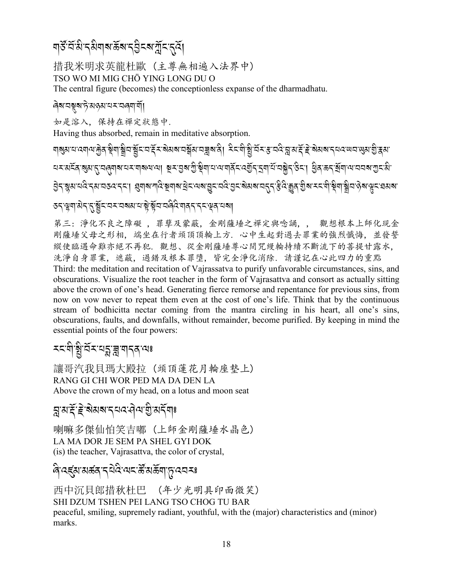#### য়ৼৢ৻ৼৄ৻ৼৣ৸ৼ৸ৼ৻ৼৢ৸ৼ৻৸৸৸ৼ৻ৼ৻৻ৼ

措我米明求英龍杜歐 (主尊無相遍入法界中) TSO WO MI MIG CHÖ YING LONG DU O The central figure (becomes) the conceptionless expanse of the dharmadhatu.

#### ดิสเตฐสาธิมตรมพราติศาสั

如是溶入,保持在禪定狀態中.

Having thus absorbed, remain in meditative absorption.

<u>ঀ</u>য়য়ৼঢ়ড়৶ৼৼড়৶ৼয়৸য়৸ৼঀৼৼ৻ৼ৸ৼৼৼ৻ৼ৸ৼৼৼৼৼৼ৻৸ৼ৸ৼ৻ৼ৸ৼ৸ৼ৻ৼ৸ড়৸ৼৼৼৼৼ৻৸ৼৼৼৼ৻৸ৼৼৼ৻ড়৸ৼ৾ৼৼ৸ৼ৻ <u> মমমৰ্ত্তি প্ৰমাৰ্শিৰ মাৰাৰ প্ৰাৰম্ভিক বিভিন্ন সমূহ বিভিন্ন প্ৰমাৰ্শিত কৰি বিভিন্ন সমূহ প্ৰমাণ</u> ऄॖॖऽॱॺॢॺॱय़दऀॱॸ॔ॺॱय़ऊदॱॸड़ॱॎख़ॖॺऻॴऀड़ॾॕॺऻॺॱड़ॕॾॱज़ख़ऄऀॾऀॾॷॖ*ॾ*ॷॎॴख़ॾॳऀड़ऄॖॎॳॱॾॾॷऻॾॖऻॳॷॴॷॾॱॺॶॺॱ *ऊ*द्भूषा:अेद्दुर्भूद्रदय्यत्रयात्राञ्चे भूवावंबिः यावदाद्दभूवावं बा

第三:淨化不良之障礙,罪孽及蒙蔽,金剛薩埵之禪定與唸誦,, 觀想根本上師化現金 剛薩埵父母之形相. 端坐在行者頭頂頂輪上方. 心中生起對過去罪業的強烈懺悔. 並發誓 縱使臨遇命難亦絕不再犯. 觀想、從金剛薩埵尊心間咒縵輪持續不斷流下的菩提甘露水, 洗淨自身罪業, 遮蔽, 過錯及根本罪墮, 皆完全淨化消除. 請謹記在心此四力的重點 Third: the meditation and recitation of Vajrassatva to purify unfavorable circumstances, sins, and obscurations. Visualize the root teacher in the form of Vajrasattva and consort as actually sitting above the crown of one's head. Generating fierce remorse and repentance for previous sins, from now on vow never to repeat them even at the cost of one's life. Think that by the continuous stream of bodhicitta nectar coming from the mantra circling in his heart, all one's sins, obscurations, faults, and downfalls, without remainder, become purified. By keeping in mind the essential points of the four powers:

# *ম*মলীষ্ট্ৰান্নমন্ত্ৰায় ব্ৰান্নৰ বেঃ

讓哥汽我貝瑪大殿拉 (頭頂蓮花月輪座墊上) RANG GI CHI WOR PED MA DA DEN LA Above the crown of my head, on a lotus and moon seat

## 

喇嘛多傑仙怕笑吉嘟 (上師金剛薩埵水晶色) LA MA DOR JE SEM PA SHEL GYI DOK (is) the teacher, Vajrasattva, the color of crystal,

#### ৰি'বৰ্হ্ম'মৰ্ক্তন' বিষিপে ইমিৰ্ক্তনা' দূৰ্বে মঃ

西中沉貝郎措秋杜巴 (年少光明具印面微笑) SHI DZUM TSHEN PEI LANG TSO CHOG TU BAR peaceful, smiling, supremely radiant, youthful, with the (major) characteristics and (minor) marks.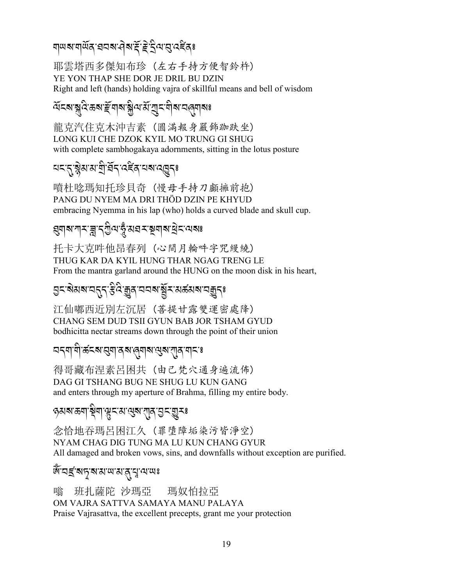#### য়ড়**য়ৼয়ড়৻৸৸৸ঢ়৸ৼঢ়৻৸**৸৸৸৸

耶雲塔西多傑知布珍 (左右手持方便智鈴杵) YE YON THAP SHE DOR JE DRIL BU DZIN Right and left (hands) holding vajra of skillful means and bell of wisdom

## *মি*মৰাৰ বিজেপাই নাৰাৰী সম্মিতি নিৰ্বাচনৰ স্বৰ্

龍克汽住克木沖吉素 (圓滿報身嚴飾跡趺坐) LONG KUI CHE DZOK KYIL MO TRUNG GI SHUG with complete sambhogakaya adornments, sitting in the lotus posture

## 

暗杜唸瑪知托珍貝奇 (慢母手持刀顱擁前抱) PANG DU NYEM MA DRI THÖD DZIN PE KHYUD embracing Nyemma in his lap (who) holds a curved blade and skull cup.

#### য়৸৶য়৾ৼ<u>৾ৠ৴</u>ৣ৸য়৸ড়৸ৼঢ়৸৶ৼ

托卡大克吽他昂春列 (心間月輪吽字咒綬繞) THUG KAR DA KYIL HUNG THAR NGAG TRENG LE From the mantra garland around the HUNG on the moon disk in his heart,

# ॶॸॱऄॺॺॱय़ॸॣॸॱ*ड़ऀऄॱ*क़ॗॺॱय़य़ॺॱॺॕॗॸॱॺक़॔ॺॺॱय़क़ॗॸ<mark>ॱ</mark>

江仙嘟西近別左沉居(善提甘露雙運密處降) CHANG SEM DUD TSII GYUN BAB JOR TSHAM GYUD bodhicitta nectar streams down through the point of their union

#### 

得哥藏布涅素呂困共(由己梵穴通身遍流佈) DAG GI TSHANG BUG NE SHUG LU KUN GANG and enters through my aperture of Brahma, filling my entire body.

#### ৽য়য়ৼড়৶ঢ়ৢয়য়ড়ৼ৻ড়৻ড়য়ৼয়ড়৻ড়ৼড়

念恰地吞瑪呂困江久 (罪墮障垢染污皆淨空) NYAM CHAG DIG TUNG MA LU KUN CHANG GYUR All damaged and broken vows, sins, and downfalls without exception are purified.

#### জঁ ঘৰ্হ মদূৰ মাজ প্ৰাপ্ত বিভি

班扎薩陀 沙瑪亞 嗡 瑪奴怕拉亞 OM VAJRA SATTVA SAMAYA MANU PALAYA Praise Vajrasattva, the excellent precepts, grant me your protection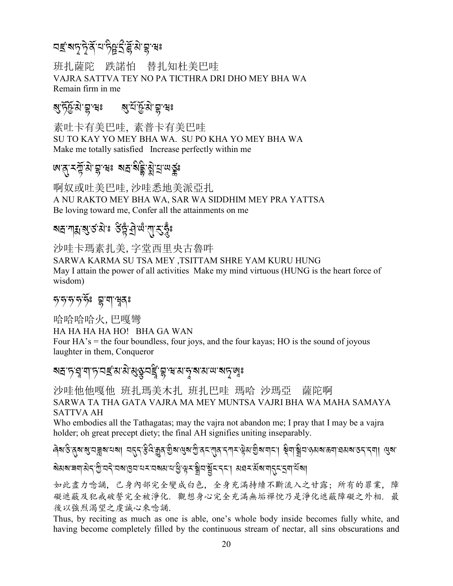# *2*#*-?*<*-*< J*-/*R*-0-+* AN*-S* F*-*[R*- 3* J*-*S*-7*:

班扎薩陀 跌諾怕 替扎知杜美巴哇 VAJRA SATTVA TEY NO PA TICTHRA DRI DHO MEY BHA WA Remain firm in me

# *?-+*RXR*- 3* J*-*S*-7*:*?-0*R*-*XR*-3* J*-*S*-7*:

素吐卡有美巴哇, 素普卡有美巴哇 SU TO KAY YO MEY BHA WA. SU PO KHA YO MEY BHA WA Make me totally satisfied Increase perfectly within me

# দ্র*প্রসম্প্রাপ্ত সম্প্র্ষ্ট্রি*, স্ত্রীর্*ন্সার্*ন্য

啊奴或吐美巴哇,沙哇悉地美派亞扎 A NU RAKTO MEY BHA WA, SAR WA SIDDHIM MEY PRA YATTSA Be loving toward me, Confer all the attainments on me

# মদ্রন্যপ্রস্ক, গুট্ট, ব্রি. **গ্র**িশ্রীপ্রন্থি

沙哇卡瑪素扎美,字堂西里央古魯吽 SARWA KARMA SU TSA MEY ,TSITTAM SHRE YAM KURU HUNG May I attain the power of all activities Make my mind virtuous (HUNG is the heart force of wisdom)

#### $\mathcal{F}$ *পৃত্ দৃ*ষ্টিঃ হ্ল'শাম্মুক্গ

哈哈哈哈火,巴嘎彎 HA HA HA HA HO! BHA GA WAN Four HA's = the four boundless, four joys, and the four kayas; HO is the sound of joyous laughter in them, Conqueror

# ৰ্শন্দ্ৰানী *দ্ৰাৰাৰুৱী প্ৰতিষ্ট্ৰায় প্ৰ*াৰাৱী প্ৰাপ্ত কৰি কৰি স্থিতি স্থানী স্থানী স্থানী স্থানী স্থানী স্থান

沙哇他他嘎他 班扎瑪美木扎 班扎巴哇 瑪哈 沙瑪亞 薩陀啊 SARWA TA THA GATA VAJRA MA MEY MUNTSA VAJRI BHA WA MAHA SAMAYA SATTVA AH

Who embodies all the Tathagatas; may the vajra not abandon me; I pray that I may be a vajra holder; oh great precept diety; the final AH signifies uniting inseparably.

৻<br>હિત્રાફાર્ચજ્ઞાન્નીજાનના તર્ટિક્ષ્ડ્રાર્થના હિત્રાહી હિત્રાણ કરતીને સંબંધો કરતી છે. તો હિત્રાણ કરતીના લેવા હિત A

*?*J*3?-9\$-3*J*. -G* A*-2.*J*- 2?-H 2- 0<-2?3-0-K* A*- v<-*1 A*2-*.R*% -.%-*,*3,<-3*R*?-\$.%-S\$-0*R*?*,

如此盡力唸誦, 己身內部完全變成白色, 全身充滿持續不斷流入之甘露; 所有的罪業, 障 礙遮蔽及犯戒破誓完全被淨化. 觀想身心完全充滿無垢禪悅乃是淨化遮蔽障礙之外相. 最 後以強烈渴望之虔誠心來唸誦.

Thus, by reciting as much as one is able, one's whole body inside becomes fully white, and having become completely filled by the continuous stream of nectar, all sins obscurations and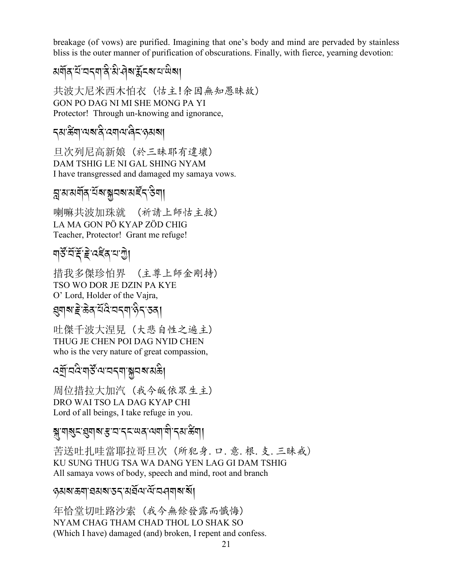breakage (of vows) are purified. Imagining that one's body and mind are pervaded by stainless bliss is the outer manner of purification of obscurations. Finally, with fierce, yearning devotion:

共波大尼米西木怕衣 (怙主!余因無知愚昧故) GON PO DAG NI MI SHE MONG PA YI Protector! Through un-knowing and ignorance,

#### **ร**ส'สัตฺ'ันส'สิ' (สุด "สิร" (สุส)

日次列尼高新娘 (於三昧耶有違壞) DAM TSHIG LE NI GAL SHING NYAM I have transgressed and damaged my samaya vows.

## য়ৢয়য়য়ৗঽ<sup>৵ৣ</sup>য়য়ৣয়য়য়ৼ৻ৼ৻

喇嘛共波加珠就 (祈請上師怙主救) LA MA GON PÖ KYAP ZÖD CHIG Teacher, Protector! Grant me refuge!

## <u> মার্কুর্হ্লাই বেছুপ্র নাতী</u>

措我多傑珍怕界 (主尊上師金剛持) TSO WO DOR JE DZIN PA KYE O' Lord, Holder of the Vajra, য়য়য়ৼৗৢৼড়ড়ৼ৻য়৸৸ৼ৻ৼ৻৸

吐傑千波大涅見 (大悲自性之遍主) THUG JE CHEN POI DAG NYID CHEN who is the very nature of great compassion,

#### ঽয়ৗৢ৾৸ঽয়ৠৼৣ৾৻৸৻৸৸ৼ৸ড়৸

周位措拉大加汽 (我今皈依眾生主) DRO WAI TSO LA DAG KYAP CHI Lord of all beings, I take refuge in you.

#### <sub>য়</sub>য়ঀয়ৢৼয়৽ঢ়ৼৼ৸ৼৼ৸ৼ৸৸৸৸

苦送吐扎哇當耶拉哥旦次(所犯身.口. 意. 根. 支. 三昧戒) KU SUNG THUG TSA WA DANG YEN LAG GI DAM TSHIG All samaya vows of body, speech and mind, root and branch

#### <sub>ู</sub><br>รมสาธ<sub>ั</sub>ๆ เสมสาธ<sub>ร</sub>ามสัญญาสาสา

年恰堂切吐路沙索 (我今無餘發露而懺悔) NYAM CHAG THAM CHAD THOL LO SHAK SO (Which I have) damaged (and) broken, I repent and confess.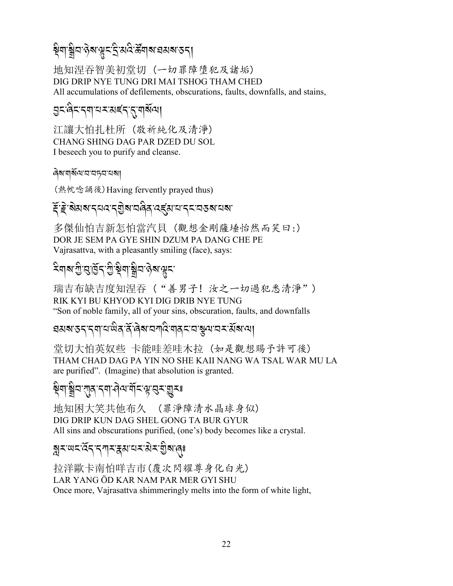#### ষ্ণীর ওপার্স্কির্ট, প্রদুর <u>ব</u>ুদ্র প্রয়ার বি A

地知涅吞智美初堂切 (一切罪障墮犯及諸垢) DIG DRIP NYE TUNG DRI MAI TSHOG THAM CHED All accumulations of defilements, obscurations, faults, downfalls, and stains,

# <u>g</u><:बे़<<्याद्य्र्य्यह्<{{च]

江讓大怕扎杜所 (敬祈純化及清淨) CHANG SHING DAG PAR DZED DU SOL I beseech you to purify and cleanse.

*ৰ্ষ*ম'ম্ৰ্মিণ'ম'মচ্বম'মৰা

(熱帎唸誦後)Having fervently prayed thus)

# দ্দিৰ ক্ৰিয়ে স্বাৰ্ট সম্পৰ্ক কৰি স্বৰ্গ সম্পৰ্ক সম্পৰ্ক সম্পৰ্ক সম্পৰ্ক সম্পৰ্ক সম্পৰ্ক সম্পৰ্ক সম্পৰ্ক সম্পৰ<br>ইণ্ট সম্পৰ্ক সম্পৰ্ক সম্পৰ্ক সম্পৰ্ক সম্পৰ্ক সম্পৰ্ক সম্পৰ্ক সম্পৰ্ক সম্পৰ্ক সম্পৰ্ক সম্পৰ্ক সম্পৰ্ক সম্পৰ্ক

多傑仙怕吉新怎怕當汽貝 (觀想金剛薩埵怡然而笑曰:) DOR JE SEM PA GYE SHIN DZUM PA DANG CHE PE Vajrasattva, with a pleasantly smiling (face), says:

#### $\frac{1}{\sqrt{2}}$ 4  $\frac{1}{\sqrt{2}}$   $\frac{1}{\sqrt{2}}$   $\frac{1}{\sqrt{2}}$   $\frac{1}{\sqrt{2}}$   $\frac{1}{\sqrt{2}}$ A

瑞吉布缺吉度知涅吞 ("善男子! 汝之一切過犯悉清淨") RIK KYI BU KHYOD KYI DIG DRIB NYE TUNG "Son of noble family, all of your sins, obscuration, faults, and downfalls

# রমৰ্শতন্দ্ৰশামন্ত্ৰীৰ কৰি সম<mark>্য</mark>িক্ষাৰ সম্প্ৰদান কৰি স্থাপন

堂切大怕英奴些 卡能哇差哇木拉 (如是觀想賜予許可後) THAM CHAD DAG PA YIN NO SHE KAII NANG WA TSAL WAR MU LA are purified". (Imagine) that absolution is granted.

#### <u>ङ्गेबा</u>ः सुद्रम् अपुर्वे प्रति स्वर्भ्युद्रः J

地知困大笑共他布久 (罪淨障清水晶球身似) DIG DRIP KUN DAG SHEL GONG TA BUR GYUR All sins and obscurations purified, (one's) body becomes like a crystal.

# ৰ্শ্নসংগ্ৰন প্ৰায় - বিশ্বৰ পৰি স্পূৰ্ণ প্ৰাৰ্<sub>ষ</sub>

拉洋歐卡南怕咩吉市(覆次閃耀尊身化白光) LAR YANG ÖD KAR NAM PAR MER GYI SHU Once more, Vajrasattva shimmeringly melts into the form of white light,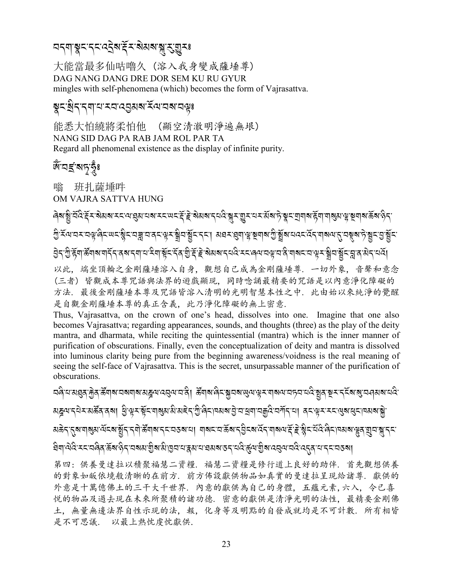#### 

大能當最多仙咕嚕久 (溶入我身變成薩埵尊) DAG NANG DANG DRE DOR SEM KU RU GYUR mingles with self-phenomena (which) becomes the form of Vajrasattva.

#### য়ৼয়ৢ৾ৼৼঀৗৼ৻ৼৼ৸ৼঀৼঀঀ৸৻ৼ

能悉大怕繞將柔怕他 (顯空清澈明淨遍無垠) NANG SID DAG PA RAB JAM ROL PAR TA Regard all phenomenal existence as the display of infinite purity.

#### জঁ<sup>-</sup>নৰ্ছ ৰানকুঁঃ

嗡 班扎薩埵吽 OM VAJRA SATTVA HUNG

ऄॖॸॱॻऀफ़ॕॺॱऄॕॺऻॺॱॺऻॸॕॸॱॺॺॱॸॺॱॎॱ<sup>ঽ</sup>ॺॱॺॕॖड़ॸॕॖॺॱॻऀॱड़ॕॱॾॆॱॺ॓ॺॺॱॸय़देॱॸड़ख़ॎॱय़ख़ॱय़ऄॱय़ॷॸॱऄॗय़ॱॺॗॕड़ॱय़ॗॹऄॸॱय़ढ़ॕ 以此. 端坐頂輪之金剛薩埵溶入自身. 觀想自己成為金剛薩埵尊. 一切外象. 音聲和意念 (三者) 皆觀成本尊咒語與法界的遊戲顯現, 同時唸誦最精要的咒語是以內意淨化障礙的 方法,最後金剛薩埵本尊及咒語皆溶入清明的光明智慧本性之中,此由始以來純淨的覺醒 是自觀金剛薩埵本尊的真正含義, 此乃淨化障礙的無上密意.

Thus, Vajrasattva, on the crown of one's head, dissolves into one. Imagine that one also becomes Vajrasattva; regarding appearances, sounds, and thoughts (three) as the play of the deity mantra, and dharmata, while reciting the quintessential (mantra) which is the inner manner of purification of obscurations. Finally, even the conceptualization of deity and mantra is dissolved into luminous clarity being pure from the beginning awareness/voidness is the real meaning of seeing the self-face of Vajrasattva. This is the secret, unsurpassable manner of the purification of obscurations.

<u>ଘલે ସର୍ଥେକ୍ତି ସୁଥିବା ଅକ୍ଷାସ । ଏହି ସାକର୍ଥ ଏକ ସ୍ଥାନ ଅକ୍ଷା ଅନୁସେ । ସେ ଏକ ସମ୍ବର୍ଥ ସାକର । ସୁଥିବା ସ୍ଥାନ ସ୍ଥାନ ସ</u> ସିশ্রাণ্ড বি:মহাত্রান্ত করা উপাত্তীয় বুলি বিয়ে বিয়ে বিয়ে বিয়ে বিয়ে বিয়ে বিয়ে বিয়ে বিয়ে বিয়ে বিয়ে ব

第四:供養曼達拉以積聚福慧二資糧,福慧二資糧是修行道上良好的助伴,首先觀想供養 的對象如皈依境般清晰的在前方. 前方佈設獻供物品如真實的曼達拉呈現給諸尊. 獻供的 外意是十萬億佛土的三干大千世界. 内意的獻供為自己的身體, 五蘊元素,六入, 令已喜 悦的物品及過去現在未來所聚積的諸功德. 密意的獻供是清淨光明的法性, 最精要金剛佛 土, 無量無邊法界自性示現的法, 報, 化身等及明點的自發成就均是不可計數. 所有相皆 是不可思議. 以最上熱忱虔忱獻供.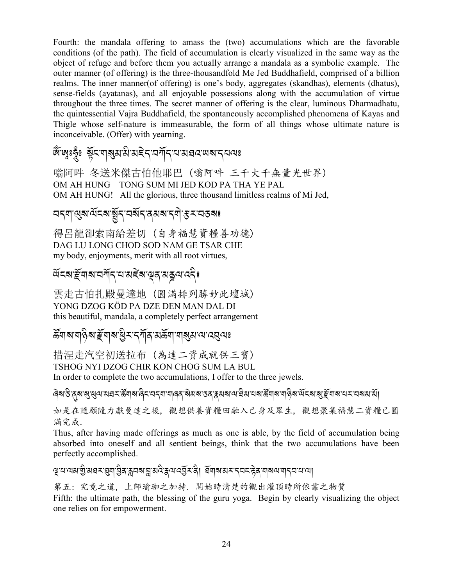Fourth: the mandala offering to amass the (two) accumulations which are the favorable conditions (of the path). The field of accumulation is clearly visualized in the same way as the object of refuge and before them you actually arrange a mandala as a symbolic example. The outer manner (of offering) is the three-thousandfold Me Jed Buddhafield, comprised of a billion realms. The inner manner (of offering) is one's body, aggregates (skandhas), elements (dhatus), sense-fields (ayatanas), and all enjoyable possessions along with the accumulation of virtue throughout the three times. The secret manner of offering is the clear, luminous Dharmadhatu, the quintessential Vajra Buddhafield, the spontaneously accomplished phenomena of Kayas and Thigle whose self-nature is immeasurable, the form of all things whose ultimate nature is inconceivable. (Offer) with yearning.

#### জ্ঞেঃহূঁঃ শ্লুঁহত্মস্থ্যাম্পৰাই বাৰ্ত্মন প্ৰায় প্ৰয়ে আৰু বিতা

嗡阿吽 冬送米傑古怕他耶巴 (嗡阿吽 三千大千無量光世界) OM AH HUNG TONG SUM MI JED KOD PA THA YE PAL OM AH HUNG! All the glorious, three thousand limitless realms of Mi Jed,

#### <u> নন্মাণ্ডুৰাৰ্শিকৰাৰ্থীন নৰ্থন ব্ৰমৰাৰ্শিক্ত কৰি ক</u>

得呂龍卻索南給差切(自身福慧資糧善功德) DAG LU LONG CHOD SOD NAM GE TSAR CHE my body, enjoyments, merit with all root virtues,

#### ড়ৼ৶ৼ<u>ৣ</u>য়৶য়য়ৄৼ৸ৼৼৼ৻৸ৼ৻ড়ঀ৻ড়ড়৻ড়ৼৢৼ

雲走古怕扎殿曼達地 (圓滿排列勝妙此壇城) YONG DZOG KÖD PA DZE DEN MAN DAL DI this beautiful, mandala, a completely perfect arrangement

#### *উ*নোঝ'নাওৰা দ্ৰীৰাৰ দুৰি বিদ্যালয়ৰ প্ৰাৰম্ভিক কৰি স্থা

措涅走汽空初送拉布 (為達二資成就供三寶) TSHOG NYI DZOG CHIR KON CHOG SUM LA BUL

In order to complete the two accumulations, I offer to the three jewels.

ৰিৰ উত্তৰ স্থাৰ্য নৱ মন্ত্ৰীৰ জিতি পৰি প্ৰায় কৰি বিৰুদ্ধে কৰি বিৰুদ্ধে বিৰুদ্ধে বিৰুদ্ধে বিৰুদ্ধে বিৰুদ্ধে বি

如是在隨願隨力獻曼達之後,觀想供養資糧田融入己身及眾生,觀想聚集福慧二資糧已圓 滿完成.

Thus, after having made offerings as much as one is able, by the field of accumulation being absorbed into oneself and all sentient beings, think that the two accumulations have been perfectly accomplished.

#### ৠয়ড়য়য়৾য়ৢড়য়ৼয়ঀৗড়ৢঀ৾ৼৼঢ়৶য়য়ড়ড়ৢৼ৻ড়৻ড়য়ৼ৻৸৸ড়৸ৼ৸ড়ৼ৸ড়৸ড়৸ৼ৸৸

第五: 究竟之道, 上師瑜珈之加持. 開始時清楚的觀出灌頂時所依靠之物質

Fifth: the ultimate path, the blessing of the guru yoga. Begin by clearly visualizing the object one relies on for empowerment.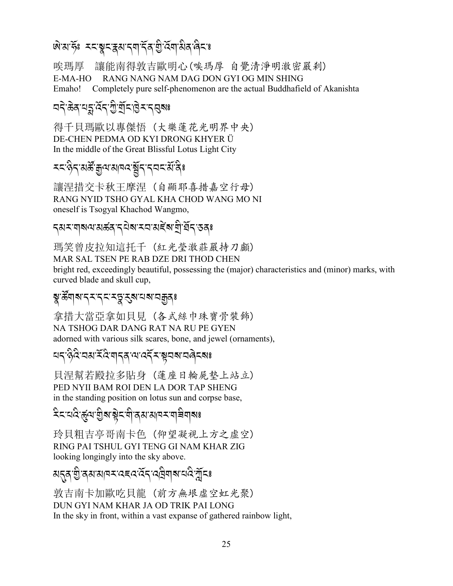## <u> জরত্যাক্টঃ মমস্ত্রমম্বন মার্মন উদ্</u>বেশনীর নিঃ

讓能南得敦吉歐明心(唉瑪厚 自覺清淨明澈密嚴刹) 唉瑪厚 RANG NANG NAM DAG DON GYI OG MIN SHING  $E-MA-HO$ Emaho! Completely pure self-phenomenon are the actual Buddhafield of Akanishta

#### 

得千貝瑪歐以專傑悟 (大樂蓮花光明界中央) DE-CHEN PEDMA OD KYI DRONG KHYER Ü In the middle of the Great Blissful Lotus Light City

#### *रदाकेदारार्कें कुषासावयञ्चेंदादवदार्यादे*

讓涅措交卡秋王摩涅 (自顯耶喜措嘉空行母) RANG NYID TSHO GYAL KHA CHOD WANG MO NI oneself is Tsogyal Khachod Wangmo,

#### 

瑪笑曾皮拉知這托千 (紅光榮澈莊嚴持刀顱) MAR SAL TSEN PE RAB DZE DRI THOD CHEN bright red, exceedingly beautiful, possessing the (major) characteristics and (minor) marks, with curved blade and skull cup,

#### য়ৢ৾৽য়৸য়ৼঀৼৼঀৼৼঀৢৼ৻য়ৼঀয়ৼঀয়ৣঀ৽

拿措大當亞拿如貝見(各式絲巾珠寶骨裝飾) NA TSHOG DAR DANG RAT NA RU PE GYEN adorned with various silk scares, bone, and jewel (ornaments),

#### <u>यदाहुेद यसार्द्रदेखादवारा पर्दे राष्ट्र</u>ायबाद्य बेटबा

貝涅幫若殿拉多貼身 (蓮座日輪屍墊上站立) PED NYII BAM ROI DEN LA DOR TAP SHENG in the standing position on lotus sun and corpse base,

ঽৼৼঽ৻ৼৼঀ৸ড়ৗৢৼ৻ড়ৢৼৼ৻৸ৢ৻ৼ৸৻৸৸ৼৼ৻৸ড়৶৽৽

玲貝粗吉亭哥南卡色 (仰望凝視上方之虚空) RING PAI TSHUL GYI TENG GI NAM KHAR ZIG looking longingly into the sky above.

## য়<u>ৼঀ৾</u>৾য়ৢ৾<sup>৻</sup>য়য়য়৸ৼৼ৻ৼ৻ৼ৻ৼ৻ৼ৻ড়য়য়৸৻ড়৻য়

敦吉南卡加歐吃貝龍 (前方無垠虛空虹光聚) DUN GYI NAM KHAR JA OD TRIK PAI LONG In the sky in front, within a vast expanse of gathered rainbow light,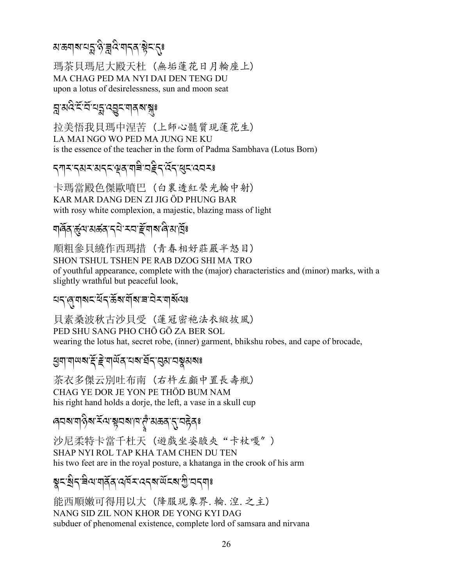# য়<sup>੶</sup>ড়৶য়৸ৼ৸ৼৼয়৻৻৸য়৸ৼঢ়ৼ৻ড়৸

瑪茶貝瑪尼大殿天杜 (無垢蓮花日月輪座上) MA CHAG PED MA NYI DAI DEN TENG DU upon a lotus of desirelessness, sun and moon seat

# য়ৢয়৾ঽৼয়য়য়য়ড়ড়ৼয়৽

抗美悟我貝瑪中涅苦 (上師心髓質現蓮花生) LA MAI NGO WO PED MA JUNG NE KU is the essence of the teacher in the form of Padma Sambhava (Lotus Born)

#### *ॸ*ग़ॸॱॸॺॸॱॺॸॸॱॷॺॱॺऻऀॿॱॺॾऀॸॱख़ॸॱख़ॸॱॺॺॸ

卡瑪當殿色傑歐噴巴 (白裹透紅榮光輪中射) KAR MAR DANG DEN ZI JIG ÖD PHUNG BAR with rosy white complexion, a majestic, blazing mass of light

#### *মা*ৰ্ন্নি:ৰ্ন্মুন্মস্কৰ ব্ৰাম্মই মাৰ্মান্নিষ

順粗參貝繞作西瑪措 (青春相好莊嚴半怒目) SHON TSHUL TSHEN PE RAB DZOG SHI MA TRO of youthful appearance, complete with the (major) characteristics and (minor) marks, with a slightly wrathful but peaceful look,

#### <u>য়ৼ৻ড়৻য়৾৶ৼ৻ড়ৼ৻ড়ৣৼ৻ড়৻৸৻৸৸৸৻</u>

貝素桑波秋古沙貝受 (蓮冠密袍法衣緞披風) PED SHU SANG PHO CHÔ GỒ ZA BER SOL wearing the lotus hat, secret robe, (inner) garment, bhikshu robes, and cape of brocade,

#### *মু*বা নাম ম'ৰ্ই' ই'নাৰ্মৰ বেৰা বৰ্ত্ত প্ৰয়া বৰ্ষ্ণ প্ৰৰা

茶衣多傑云別吐布南 (右杵左顱中置長壽瓶) CHAG YE DOR JE YON PE THÖD BUM NAM his right hand holds a dorje, the left, a vase in a skull cup

#### *෧*෬෧෦෨෯෧෦෪෨෪෪෧෪෧෪෫෧෪෧෪෫෧෪

沙尼柔特卡當千杜天(遊戲坐姿腋夾"卡杖嘎") SHAP NYI ROL TAP KHA TAM CHEN DU TEN his two feet are in the royal posture, a khatanga in the crook of his arm

# য়ৼয়ৢ৴য়৽৻৸৶ৼৗৼৢৼ৻ড়৻৸৻৸৸৸৸৸৸৻৸

能西順嫩可得用以大 (降服現象界. 輪. 湟. 之主) NANG SID ZIL NON KHOR DE YONG KYI DAG subduer of phenomenal existence, complete lord of samsara and nirvana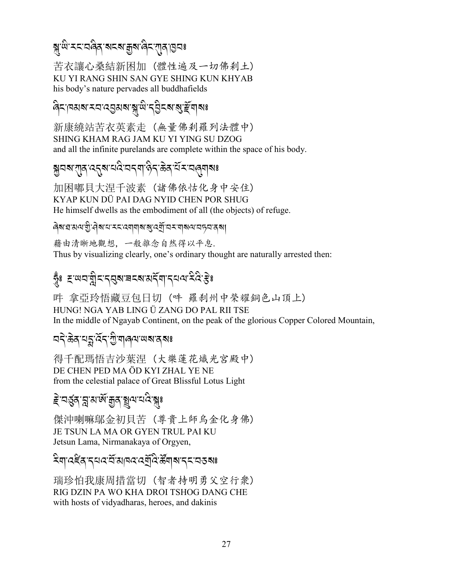# য়<sup>੶৻</sup>৸ৼৼৼঢ়ড়৶ৼয়ৼৼঢ়ৼঢ়ড়৻ড়ৼৼয়৾ৼৼয়ড়৻ড়ড়

苦衣讓心桑結新困加(體性遍及一切佛剎土) KU YI RANG SHIN SAN GYE SHING KUN KHYAB his body's nature pervades all buddhafields

#### สะ คมสรม สารสรรม สาราคม สาราคม

新康繞站苦衣英素走(無量佛刹羅列法體中) SHING KHAM RAG JAM KU YI YING SU DZOG and all the infinite purelands are complete within the space of his body.

# য়ৢয়য়ৼ৾য়ৣঀ৾৻ঽঀৣয়৻ৼঢ়ৢৼ৻ড়৻ড়৻ড়৻ড়৻ড়৻ড়৻৸ৼঢ়৻ড়৸ৼ৻ড়৸

加困嘟貝大涅千波素 (諸佛依怙化身中安住) KYAP KUN DÜ PAI DAG NYID CHEN POR SHUG He himself dwells as the embodiment of all (the objects) of refuge.

#### ดิสเฮเมนเขินิคสเฮเฮเฮเซนล์เฮนิเฮฮเปลง เปลง

藉由清晰地觀想, 一般雜念自然得以平息. Thus by visualizing clearly, one's ordinary thought are naturally arrested then:

## হুঃ হজবাস্ত্ৰীবাৰ্থস্বৰস্থা প্ৰাৰ্থ প্ৰয়েষ্টঃ

吽 拿亞玲悟藏豆包日切 (吽 羅刹州中榮耀銅色山頂上) HUNG! NGA YAB LING Ü ZANG DO PAL RII TSE In the middle of Ngayab Continent, on the peak of the glorious Copper Colored Mountain,

# *নন্* ক্টব্ৰায়হ্নাৰ্ব্বি শ্ৰীত্মান্ত্ৰশেষ কৰিঃ

得千配瑪悟吉沙葉涅(大樂蓮花熾光宮殿中) DE CHEN PED MA ÖD KYI ZHAL YE NE from the celestial palace of Great Blissful Lotus Light

# *≩*ॱবৰ্ত্ত্ব'ন্নুম'ৰ্জ'ক্কুৰ'ষ্ণুমখৰ বি'ৰুঃ

傑沖喇嘛鄔金初貝苦 (尊貴上師烏金化身佛) JE TSUN LA MA OR GYEN TRUL PAI KU Jetsun Lama, Nirmanakaya of Orgyen,

#### 

瑞珍怕我康周措當切 (智者持明勇父空行衆) RIG DZIN PA WO KHA DROI TSHOG DANG CHE with hosts of vidyadharas, heroes, and dakinis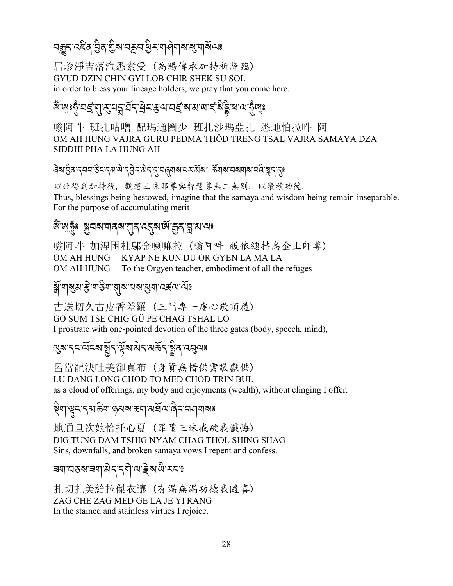# <u>ଘৰূ</u>ন্তইৰ্গ ව্ৰক গ্ৰীষ্ম অক্লয় ব্ৰীৰ্শৰ মাজ যায় আৰু বিষ

居珍淨吉落汽悉素受 (為賜傳承加持祈降臨) GYUD DZIN CHIN GYI LOB CHIR SHEK SU SOL in order to bless your lineage holders, we pray that you come here.

# 

嗡阿吽 班扎咕嚕 配瑪通圈少 班扎沙瑪亞扎 悉地怕拉吽 阿 OM AH HUNG VAJRA GURU PEDMA THÖD TRENG TSAL VAJRA SAMAYA DZA SIDDHI PHA LA HUNG AH

#### ৻ঀয়৾৾ঀৣ৾ঀ৾ৼ৸ৼ৸ৼৣঀৼ৾ৼ৸ড়৸ৼঀড়৸ৼ৻ৼঢ়৻ড়৸৸ৼ৻ড়৸৸ৼ৻ড়৸ৼ৻ড়৸ৼ৻ড়৸ৼ৻ৼ৻ড়৸

以此得到加持後, 觀想三昧耶尊與智慧尊無二無別. 以聚積功德. Thus, blessings being bestowed, imagine that the samaya and wisdom being remain inseparable. For the purpose of accumulating merit

#### জঁজুকুঁঃ স্কানমখানমখান বৰ্মজ্যক্কি স্নাম বাঃ

嗡阿吽 加涅困杜鄔金喇嘛拉 (嗡阿吽 皈依總持烏金上師尊) OM AH HUNG KYAP NE KUN DU OR GYEN LA MA LA To the Orgyen teacher, embodiment of all the refuges OM AH HUNG

#### য়ৢ৾৽য়ৠয়ৼৗৢয়৸ড়৸য়৸য়ৼঢ়৸

古送切久古皮香差羅 (三門專一虔心敬頂禮) GO SUM TSE CHIG GÜ PE CHAG TSHAL LO I prostrate with one-pointed devotion of the three gates (body, speech, mind),

# ড়য়ৼৼৼ৻য়ৼয়ড়ৗৢৼ৻ড়য়য়ঀ৻য়ড়ৼ৻য়ৢঀ৻ৼঀড়৽

呂當龍決吐美卻真布 (身資無惜供雲敬獻供) LU DANG LONG CHOD TO MED CHÔD TRIN BUL as a cloud of offerings, my body and enjoyments (wealth), without clinging I offer.

#### ৡ৾ঀ৾৾ড়ৢৼৼঽয়ড়ৢয়৾৻ড়ড়য়ৼড়য়৾ড়ড়ড়৻ড়৻ড়৸ড়য়

地通旦次娘恰托心夏 (罪墮三昧戒破我懺悔) DIG TUNG DAM TSHIG NYAM CHAG THOL SHING SHAG Sins, downfalls, and broken samaya vows I repent and confess.

#### <u> ৰশ্বেপৰ ৰাজ্যবিদ্যালয় ইৰ্লজ্</u>নেৰে

扎切扎美給拉傑衣讓 (有漏無漏功德我隨喜) ZAG CHE ZAG MED GE LA JE YI RANG In the stained and stainless virtues I rejoice.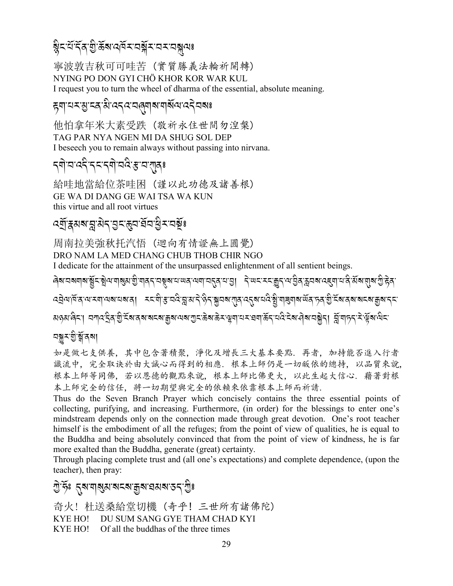# ৡৼয়ৼৄৼৄঀৣ৽ৼৄৼৄৼৢৼ৻ড়৻৸ৼ৻৸ৼ৸ৼ৸ৼ

寧波敦吉秋可可哇苦 (實質勝義法輪祈開轉) NYING PO DON GYI CHÖ KHOR KOR WAR KUL I request you to turn the wheel of dharma of the essential, absolute meaning.

## ह्याद्य-दुग्द्वाद्यादद्ववाद्यावाद्याद्य दिवा

他怕拿年米大素受跌(敬祈永住世間勿湟槃) TAG PAR NYA NGEN MI DA SHUG SOL DEP I be seech you to remain always without passing into nirvana.

# *ॸ*ॺॊॱॺॱॺॸऀॱॸॸॱॸॺॊॱॺॺऀॱॾॱॺॱग़ॺॖॖॖॖ

給哇地當給位茶哇困 (謹以此功德及諸善根) GE WA DI DANG GE WAI TSA WA KUN this virtue and all root virtues

#### *ঽ*ঀৗৢৼয়য়ৼৗৣৼৢ৸৴৾ঀঽৼ৾ড়৸ড়ৢ৸৻ঽয়ৣ৾৽

周南拉美強秋托汽悟(迴向有情證無上圓覺) DRO NAM LA MED CHANG CHUB THOB CHIR NGO I dedicate for the attainment of the unsurpassed enlightenment of all sentient beings. *෬*ঀৢ৾৾৻য়ড়ৼড়৻ড়ৼৼয়৾ড়য়ৼঢ়ঀৗৼৢৼড়৻৸ৼৼড়৻ৼয়ৼ৸ৼ৻ড়ঀৼয়ৼঢ়ড়৻ড়৻ড়৻ড়৻ড়৻ড়৻ড়৻ড়৻ড়৻ড়৻ড়৻ড়৻ড়৻ড়৻ড়৻ৼ৻ড়৻ড়৻ৼ৻ৼ৻ড়

য়ঔপঞ্জন। অনাত বিত্ৰ স্তু হুখৰ পৰা প্ৰায় কৰা অনা এক প্ৰায় কৰা সম্ভিদ কৰে বুৰ পৰা প্ৰায় স্থান। স্থান প্ৰায় ক

#### নন্ধুমন্ত্ৰ<sup>্</sup>ৰ্শ্বৰমা

如是做七支供養,其中包含著積聚,淨化及增長三大基本要點,再者,加持能否進入行者 識流中, 完全取诀於由大誠心而得到的相應, 根本上師仍是一切皈依的總持, 以品質來說, 根本上師等同佛,若以恩德的觀點來說,根本上師比佛更大,以此生起大信心,藉著對根 本上師完全的信任, 將一切期望與完全的依賴來依靠根本上師而祈請.

Thus do the Seven Branch Prayer which concisely contains the three essential points of collecting, purifying, and increasing. Furthermore, (in order) for the blessings to enter one's mindstream depends only on the connection made through great devotion. One's root teacher himself is the embodiment of all the refuges; from the point of view of qualities, he is equal to the Buddha and being absolutely convinced that from the point of view of kindness, he is far more exalted than the Buddha, generate (great) certainty.

Through placing complete trust and (all one's expectations) and complete dependence, (upon the teacher), then pray:

#### ন্ট্র: ব্রমানার্যামনমাদ্রমান্নমান্তন্'ন্ট্রঃ

奇火! 杜送桑給堂切機 (奇乎! 三世所有諸佛陀) DU SUM SANG GYE THAM CHAD KYI **KYE HO! KYE HO!** Of all the buddhas of the three times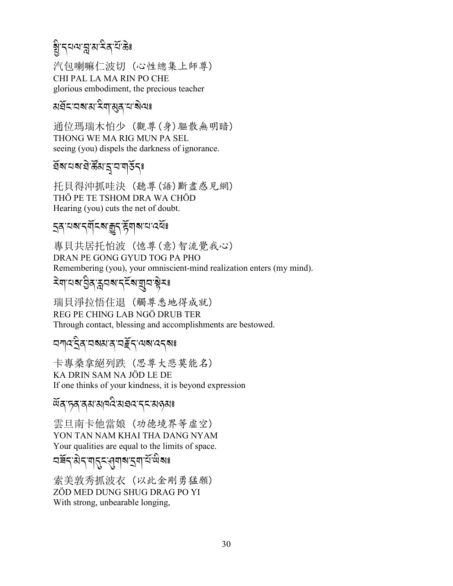# য়ৢ৾<sup>੶</sup>৲য়য়য়ৢয়ৼ৻ৼ৻

汽包喇嘛仁波切(心性總集上師尊) CHI PAL LA MA RIN PO CHE glorious embodiment, the precious teacher

#### য়য়ৼৼ৸৶ৼৢয়৾৸ঀঀৼ৸ৼ

通位瑪瑞木怕少 (觀尊(身)驅散無明暗) THONG WE MA RIG MUN PA SEL seeing (you) dispels the darkness of ignorance.

#### ইমাঘমাইস্কুপাইনেঃ

托貝得沖抓哇決 (聽尊(語)斷盡惑見網) THỜ PE TE TSHOM DRA WA CHÖD Hearing (you) cuts the net of doubt.

#### 

專貝共居托怕波 (憶尊(意)智流覺我心) DRAN PE GONG GYUD TOG PA PHO Remembering (you), your omniscient-mind realization enters (my mind).

# ঽয়ৼয়ৼৣ৾ঀৼৢৼঢ়৸ৼ৻ৼৢৼ৸ৼঢ়ড়৸ৼ

瑞貝淨拉悟住退 (觸尊悉地得成就) REG PE CHING LAB NGÖ DRUB TER Through contact, blessing and accomplishments are bestowed.

#### *মশ্ম*ইৰ মৰুৱাৰ মুইন অৰাত্তৰঃ

卡專桑拿絕列跌 (思尊大悲莫能名) KA DRIN SAM NA JÖD LE DE If one thinks of your kindness, it is beyond expression

*ড়ঽ*ॱॸॖॺॱॺॺॱॺऻॺॳॖॱॺॿॺॱॸड़ॱॺढ़ॺ<mark>ॱ</mark>

雲旦南卡他當娘 (功德境界等虛空) YON TAN NAM KHAI THA DANG NYAM Your qualities are equal to the limits of space.

# <u> নৰ্ষন মন শনন প্ৰদাপ প্ৰদা</u>নী

索美敦秀抓波衣 (以此金剛勇猛願) ZÖD MED DUNG SHUG DRAG PO YI With strong, unbearable longing,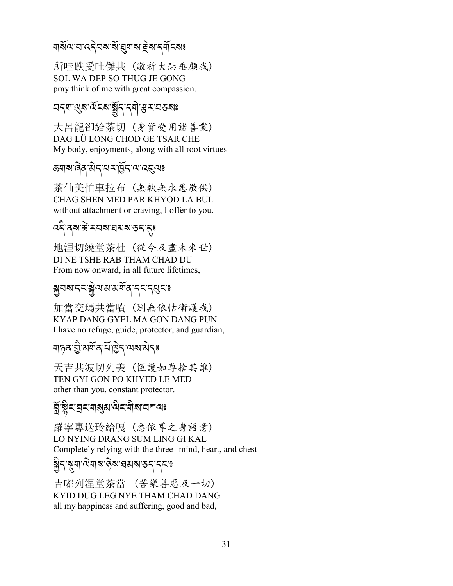#### <u> শর্মণে বাওবুবৰ স্থাপনা ইলাব্যাবলয়</u>

所哇跌受吐傑共 (敬祈大悲垂顧我) SOL WA DEP SO THUG JE GONG pray think of me with great compassion.

# <u> নন্মান্তুৰাৰ্শ্মনৰ মুদ্ৰ দ্বাস্থা স্থানৰ বিষয়</u>

大呂龍卻給茶切 (身資受用諸善業) DAG LÜ LONG CHOD GE TSAR CHE My body, enjoyments, along with all root virtues

#### ऊषाबालेव सेन यस डिन यादतुत्पः

茶仙美怕車拉布 (無執無求悉敬供) CHAG SHEN MED PAR KHYOD LA BUL without attachment or craving, I offer to you.

# **จริสพสั**รสสรสสรรรุ

地涅切繞堂茶杜 (從今及盡未來世) DI NE TSHE RAB THAM CHAD DU From now onward, in all future lifetimes,

#### <u> য়</u>ৢৢৢয়য়ৼৼৼয়ৣ৾৻য়ড়ড়য়ড়ড়ড়ৼৼৼৼড়ড়

加當交瑪共當噴 (別無依怙衛護我) KYAP DANG GYEL MA GON DANG PUN I have no refuge, guide, protector, and guardian,

## <u>শদূৰ খ্ৰীমৰ্শীৰ শীৰ্ত্তি</u> শেৰামীৰঃ

天吉共波切列美 (恆護如尊捨其誰) TEN GYI GON PO KHYED LE MED other than you, constant protector.

#### ह्में श्लेद प्रदायाञ्ज्ञा मेदायोज्ञा प्राप्त अ

羅寧專送玲給嘎 (悉依尊之身語意) LO NYING DRANG SUM LING GI KAL Completely relying with the three--mind, heart, and chest—

#### ঌৣ৾ঀ৾ৼৄয়ঢ়৻ড়ৢয়৶ৼ৻ড়৸ৼ৻ড়৸ৼ৻ৼ৻ৼ

吉嘟列涅堂茶當 (苦樂善惡及一切) KYID DUG LEG NYE THAM CHAD DANG all my happiness and suffering, good and bad,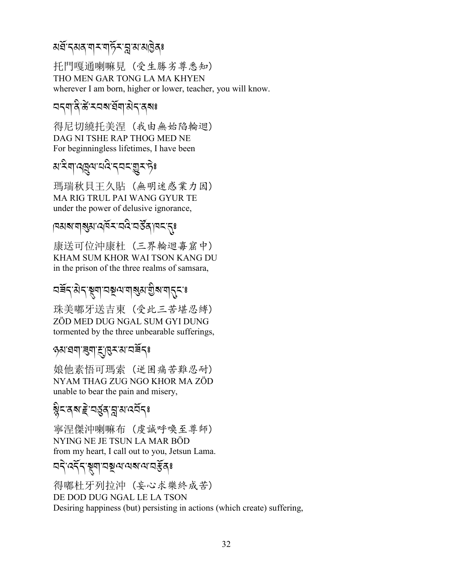#### মৰ্ঘ<sup>-</sup>ন্মৰ্'শ্ম-শৰ্চ়ি-'ম্ল'ম'মাইৰ্ঃ .<br>.

托門嘎通喇嘛見 (受生勝劣尊悉知) THO MEN GAR TONG LA MA KHYEN wherever I am born, higher or lower, teacher, you will know.

## বন্মান্ত্ৰীস্কীসবাৰীন কৰিঃ

得尼切繞托美涅 (我由無始陷輪迴) DAG NI TSHE RAP THOG MED NE For beginningless lifetimes, I have been

# ম<sup>.</sup>ឝેশ্বেরেশন্ত্রইর্দ্রইণ্টঃ

瑪瑞秋貝王久貼 (無明迷惑業力因) MA RIG TRUL PAI WANG GYUR TE under the power of delusive ignorance,

## |¤মৰ্মশাৰ্ম বৰ্মৰ মেই মৰ্টৰ্ <sub>|</sub>মন্দ্ৰ

康送可位沖康杜 (三界輪迴毐窟中) KHAM SUM KHOR WAI TSON KANG DU in the prison of the three realms of samsara,

# *29*R*.-3* J*.-*#*\$-2}=- \$?3-I* A*?-\$.%-*;

珠美嘟牙送吉東 (受此三苦堪忍縛) ZÖD MED DUG NGAL SUM GYI DUNG tormented by the three unbearable sufferings,

#### *\*3-, \$-9\$-d-#<-3-29*R*.*;

娘他素悟可瑪索 (逆困痛苦難忍耐) NYAM THAG ZUG NGO KHOR MA ZÖD unable to bear the pain and misery,

# ৰ্ষ্ণ<sup>ূ</sup>হৰ প্ৰাপ্ত বিষ্ণালয় স্থানি

寧涅傑沖喇嘛布 (虔誠呼喚至尊師) NYING NE JE TSUN LA MAR BÖD from my heart, I call out to you, Jetsun Lama.

# নব্<sup>.</sup>বৰ্দ্<sup>2</sup>ৰ্শনৰ ইনেঃ

得嘟杜牙列拉沖 (妄心求樂終成苦) DE DOD DUG NGAL LE LA TSON Desiring happiness (but) persisting in actions (which create) suffering,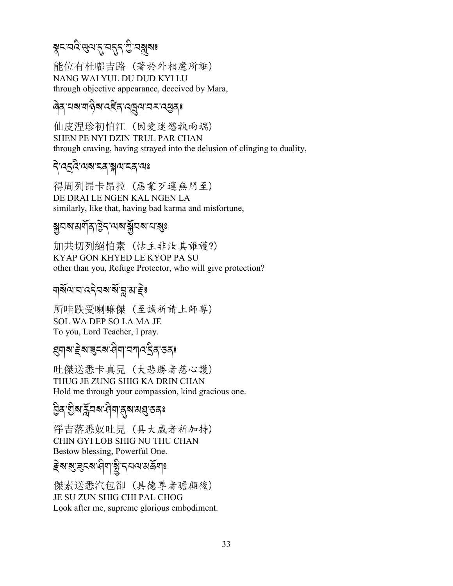# য়ৢৼ<sup>৻</sup>য়৾ঽ৾৾৻ড়৻য়ৼ৻ৼঢ়ড়৻ৼড়ড়য়৽

能位有杜嘟吉路 (著於外相魔所誑) NANG WAI YUL DU DUD KYI LU through objective appearance, deceived by Mara,

#### बित् यबागकेबादद्देत् व्यूवायस्*द्*युत्?

仙皮涅珍初怕江 (因爱迷慾執雨端) SHEN PE NYI DZIN TRUL PAR CHAN through craving, having strayed into the delusion of clinging to duality,

#### देख्द्वित्यबाद्दञ्जयाद्दव्यः

得周列昂卡昂拉 (惡業歹運無間至) DE DRAI LE NGEN KAL NGEN LA similarly, like that, having bad karma and misfortune,

#### য়ৢৢৢয়ঽড়ঀৗৢৼ৻ড়৸ৼ৻ড়৸ড়৻ড়

加共切列絕怕素(怙主非汝其誰護?) KYAP GON KHYED LE KYOP PA SU other than you, Refuge Protector, who will give protection?

#### য়য়ৄৣ৸য়৸ৼ৸ৼ৸ৼ৸ৼ

所哇跌受喇嘛傑 (至誠祈請上師尊) SOL WA DEP SO LA MA JE To you, Lord Teacher, I pray.

# *য়*য়য়ৼৗৢৼয়ড়৸৻৸য়৸ৼ৻

吐傑送悉卡真見 (大悲勝者慈心護) THUG JE ZUNG SHIG KA DRIN CHAN Hold me through your compassion, kind gracious one.

# ঀৣঽৼয়ৣ৸ৼঢ়৸ৼঀয়ঢ়ঀয়ড়ঀ৻

淨吉落悉奴吐見 (具大威者祈加持) CHIN GYI LOB SHIG NU THU CHAN Bestow blessing, Powerful One.

傑素送悉汽包卻 (具德尊者瞻顧後) **JE SU ZUN SHIG CHI PAL CHOG** Look after me, supreme glorious embodiment.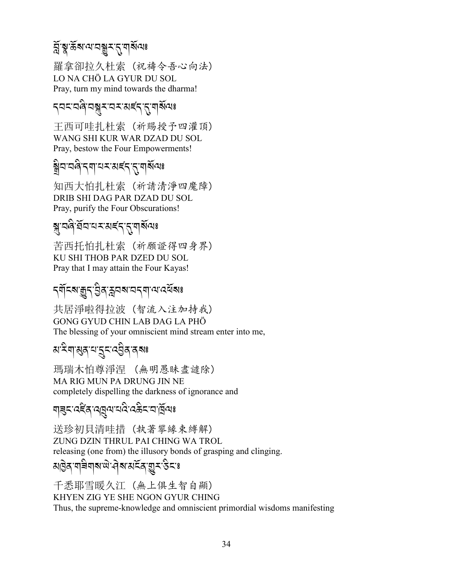# র্মুস্কুর্জরু বা বিষ্ণু হার্দ্রার্থ বিষ্ণা<br>নাম বিষ্ণু বিষ্ণু বিষ্ণু বিষ্ণু বিষ্ণু বিষ্ণু বিষ্ণু বিষ্ণু বিষ্ণু বিষ্ণু বিষ্ণু বিষ্ণু বিষ্ণু বিষ্ণু বিষ্ণু ব

羅拿卻拉久杜索 (祝禱令吾心向法) LO NA CHÖ LA GYUR DU SOL Pray, turn my mind towards the dharma!

#### *ॸ*य़ॸॱय़ऄॱय़ॠॸॱय़ॸॱॳड़॔ॸॱॸॖॱग़ॺॕॺॎਃ

王西可哇扎杜索 (祈賜授予四灌頂) WANG SHI KUR WAR DZAD DU SOL Pray, bestow the Four Empowerments!

# য়ৢ৾ঀৼঀ৾ৼঀঀৗৢঀৼঀৼ৻৻ৼঀ

知西大怕扎杜索 (祈請清淨四魔障) DRIB SHI DAG PAR DZAD DU SOL Pray, purify the Four Obscurations!

# য়ৼয়ড়৻য়৸ৼ৸ৼ৻ৼ৻

苦西托怕扎杜索 (祈願證得四身界) KU SHI THOB PAR DZED DU SOL Pray that I may attain the Four Kayas!

# *ন্মাঁ*ন্মাক্কুন্ট্ৰসম্বন্দ্ৰান্ম বেৰ্ষমঃ

共居淨啦得拉波 (智流入注加持我) GONG GYUD CHIN LAB DAG LA PHÖ The blessing of your omniscient mind stream enter into me,

# য়৾ৼয়ড়৻য়ৼৗৼৼ৻ৼঀৣ৾ঀ৾ৼঀৼ

瑪瑞木怕尊淨涅 (無明愚昧盡譴除) MA RIG MUN PA DRUNG JIN NE completely dispelling the darkness of ignorance and

#### <u> बांबर:उद्दूष:उद्यिज:उद्भुर:उद्भुज:</u>

送珍初貝清哇措 (執著攀緣束縛解) ZUNG DZIN THRUL PAI CHING WA TROL releasing (one from) the illusory bonds of grasping and clinging. য়৾৾৾ৣঽ<sup>੶</sup>য়৾৾৾য়য়য়<sup>৻</sup>৸ড়৸ড়৸য়ৼড়ৼড়ৼৼ

千悉耶雪暖久江 (無上俱生智自顯) KHYEN ZIG YE SHE NGON GYUR CHING Thus, the supreme-knowledge and omniscient primordial wisdoms manifesting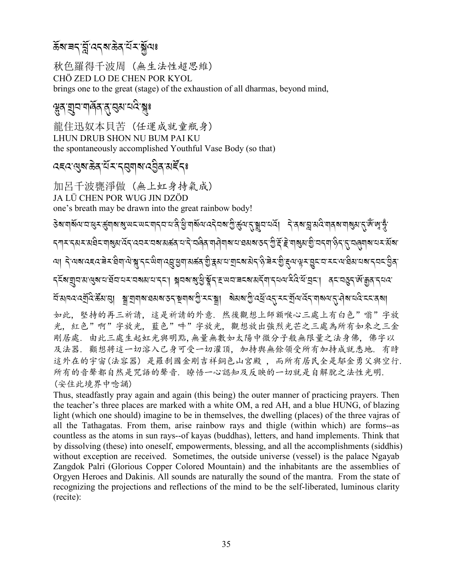### ক্লিৰেন্দ্লি বেনৰাক্টবাই সম্বৰঃ

秋色羅得千波周 (無生法性超思維) CHÖ ZED LO DE CHEN POR KYOL brings one to the great (stage) of the exhaustion of all dharmas, beyond mind,

### ঀৢঽৼঢ়ঢ়য়ড়ড়৻ড়ৢৼড়৻

龍住迅奴本貝苦 (任運成就童瓶身) LHUN DRUB SHON NU BUM PAI KU the spontaneously accomplished Youthful Vase Body (so that)

#### दददखुरुकेत् सॅर्र्र्दसुयारुद्धित् अर्देदः

加呂千波甕淨做 (無上虹身持氣成) JA LÜ CHEN POR WUG JIN DZÖD one's breath may be drawn into the great rainbow body!

<del>ៜ</del>য়ৼঢ়য়ড়৸ৼড়ৼড়ড়য়ৼঀৗৼ৻ৼ৻ৼ৻ড়ৼৼড়ৼ৻ড়৻ড়৻ড়৻ড়৻ড়৻ৼ৻ৼ৻ৼ৻ড়৻ৼ৻ৼৼৼ৻ড়৻ৼ৻ড়৻ৼ৻ড়৻ৼ৻ড়৻ৼৼড়৻ৼ৻ৼ৻ৼ৻ৼ৻ৼ৻ *ॸ*ঀৼড়য়ৼয়৾য়ৼয়৶য়ড়ৼ৻ড়ৼৼয়ৼয়ড়ড়৸ড়৻৸ড়৸ঢ়৸ড়৸ড়৸ৼ৸ৼঀৼঢ়৻ড়৻ৼ৻ৼ৻ৼ৻ৼ৻ৼৼৼৼৼৼৼৼৼৼৼৼৼৼৼৼৼৼৼ <u>আৰ্ট্ৰেৰ্ছেৰ্ছেৰ্ছিন আৰু ইন্ড্ৰিৰ্ছিন আৰু বিষ্টাৰ্ছিন আৰু বিষ্টাৰ্ছিন আৰু বিৰ্ছিন আৰু বিৰ্ছিন আৰু বিৰ্ছিন আৰু</u> <u> दर्दूशयात्रालेशत्रात्र्मतारात्रात्रात्रात्रां सैत्याश्रीङ्गरिम्नात्रात्रात्रात्रत्रात्रत्रात्रां विस्तत्र अभिष्यदे</u> 如此, 堅持的再三祈請, 這是祈請的外意, 然後觀想上師額喉心三處上有白色"嗡"字放 光, 紅色"啊"字放光, 藍色"吽"字放光, 觀想放出強烈光芒之三處為所有如來之三金 剛居處. 由此三處生起虹光與明點,無量無數如太陽中微分子般無限量之法身佛, 佛字以 及法器. 顴想將這一切溶入己身可受一切灌頂, 加持舆無餘領受所有加持成就悉地. 有時 這外在的宇宙(法容器) 是羅刹國金剛吉祥銅色山宮殿, 而所有居民全是鄔金勇父與空行. 所有的音聲都自然是咒語的聲音. 瞭悟一心認知及反映的一切就是自解脫之法性光明. (安住此境界中唸誦)

Thus, steadfastly pray again and again (this being) the outer manner of practicing prayers. Then the teacher's three places are marked with a white OM, a red AH, and a blue HUNG, of blazing light (which one should) imagine to be in themselves, the dwelling (places) of the three vajras of all the Tathagatas. From them, arise rainbow rays and thigle (within which) are forms--as countless as the atoms in sun rays--of kayas (buddhas), letters, and hand implements. Think that by dissolving (these) into oneself, empowerments, blessing, and all the accomplishments (siddhis) without exception are received. Sometimes, the outside universe (vessel) is the palace Ngavab Zangdok Palri (Glorious Copper Colored Mountain) and the inhabitants are the assemblies of Orgyen Heroes and Dakinis. All sounds are naturally the sound of the mantra. From the state of recognizing the projections and reflections of the mind to be the self-liberated, luminous clarity (recite):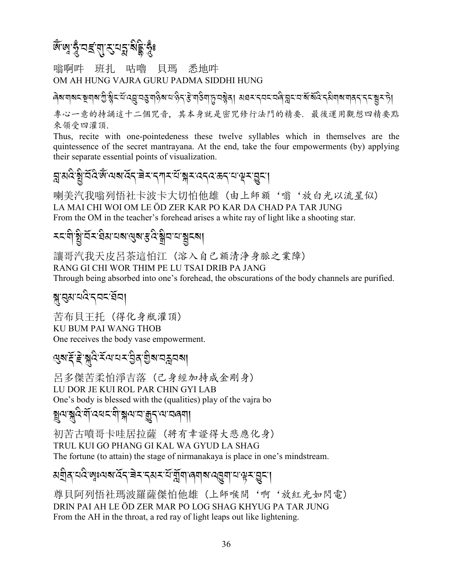জ্ঞার্দ্ধুত্র বা*হ*াস্থ্র ষ্টুর্দ্ধুঃ

嗡啊吽 班扎 咕嚕 貝瑪 悉地吽 OM AH HUNG VAJRA GURU PADMA SIDDHI HUNG

৾ बेब बाब स्थान के बाद स्थान के बाद करने के बाद करने के बाद से बाद से बाद से बाद से बाद करने के बाद से अपने स 專心一意的持誦這十二個咒音,其本身就是密咒修行法門的精要. 最後運用觀想四精要點 來領受四灌頂.

Thus, recite with one-pointedeness these twelve syllables which in themselves are the quintessence of the secret mantrayana. At the end, take the four empowerments (by) applying their separate essential points of visualization.

#### য়ৢয়৻ৼয়ৣ৾ৼৄঢ়ৣৼৢ৻৸ৢ৻৸৸ৼৢৼ৾ৼৼৼৼৼৼ৻৸৸ৼৢৼ৻ৼ৸ৼ৻ৼৼৼ৻ৼ৻৸ৼৼৼঀৼ

喇美汽我嗡列悟社卡波卡大切怕他雄(由上師額'嗡'放白光以流星似) LA MAI CHI WOI OM LE ÖD ZER KAR PO KAR DA CHAD PA TAR JUNG From the OM in the teacher's forehead arises a white ray of light like a shooting star.

#### য়ৼয়৾ড়ৢৗ৻য়ৼড়৸য়৸য়৻ড়য়৻ড়৻ড়ড়৸য়৾ৼঢ়৸

讓哥汽我天皮呂茶這怕江 (溶入自己額清净身脈之業障) RANG GI CHI WOR THIM PE LU TSAI DRIB PA JANG Through being absorbed into one's forehead, the obscurations of the body channels are purified.

#### ৠপ্ৰশ্নত্ত্বৰ ব্ৰা

苦布貝王托 (得化身瓶灌頂) KU BUM PAI WANG THOB One receives the body vase empowerment.

#### 

呂多傑苦柔怕淨吉落 (己身經加持成金剛身) LU DOR JE KUI ROL PAR CHIN GYI LAB One's body is blessed with the (qualities) play of the vaira bo য়ৢঀৼয়ঽড়৻ৼ৻ৼ৻৸ৼ৸৻৸৻৸৻৸৻৸

初苦古噴哥卡哇居拉薩 (將有幸證得大悲應化身) TRUL KUI GO PHANG GI KAL WA GYUD LA SHAG The fortune (to attain) the stage of nirmanakaya is place in one's mindstream.

#### য়য়ৢ৾ঀ৾৾ৼঢ়৻য়৾৽৸য়৽৻ৼ৾ৼ৾ৼ৸ৼৼ৻৸ৼ৻ৼ৻য়৾য়৾৸ৼঀ৸৸ৼঀড়৸

尊貝阿列悟社瑪波羅薩傑怕他雄(上師喉間'啊'放紅光如閃電) DRIN PAI AH LE ÖD ZER MAR PO LOG SHAG KHYUG PA TAR JUNG From the AH in the throat, a red ray of light leaps out like lightening.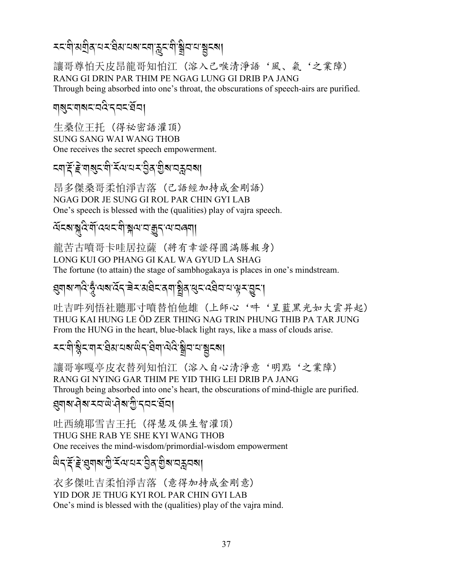# *৲*ৼয়ৗয়য়৾ঀৼঢ়ৼয়৻য়৸ৼ৽৸ৼ৸ৼঢ়ড়৻৸

讓哥尊怕天皮昂龍哥知怕江(溶入己喉清淨語'風、氣'之業障) RANG GI DRIN PAR THIM PE NGAG LUNG GI DRIB PA JANG Through being absorbed into one's throat, the obscurations of speech-airs are purified.

#### নারীদারাস্কর্যপূর্ণ প্রা

生桑位王托 (得祕密語灌頂) **SUNG SANG WAI WANG THOB** One receives the secret speech empowerment.

# য়ঀড়ড়য়৸ড়ৼৼঀৗৼ৻৸ৼ৻ড়ঀৼ৻ড়৻৸ৼ৸ৼ৸৸

昂多傑桑哥柔怕淨吉落 (己語經加持成金剛語) NGAG DOR JE SUNG GI ROL PAR CHIN GYI LAB One's speech is blessed with the (qualities) play of vajra speech.

### ॺॅदबाब्लूदेर्जोदयदाशेश्लयात्रुहुदायात्रात्रा

龍苦古噴哥卡哇居拉薩 (將有幸證得圓滿勝報身) LONG KUI GO PHANG GI KAL WA GYUD LA SHAG The fortune (to attain) the stage of sambhogakaya is places in one's mindstream.

# য়য়য়য়ঢ়৻ৼ৾য়ৢ৾৻*ড়য়ড়ৼড়ৼড়ড়ড়ড়ড়ড়ড়ড়ড়ড়ড়ড়ড়ড়ড়ড়ড়ড়ড়ড়ড়ড়ড়ড়ড়ড়ড়*৻

吐吉吽列悟社聽那寸噴替怕他雄(上師心'吽'呈藍黑光如大雲昇起) THUG KAI HUNG LE ÖD ZER THING NAG TRIN PHUNG THIB PA TAR JUNG From the HUNG in the heart, blue-black light rays, like a mass of clouds arise.

# *≍दवी श्लैदवाद द्वियायबाल देखा लेदि श्लैदाय श्लैदशा*

讓哥寧嘎亭皮衣替列知怕江(溶入自心清淨意'明點'之業障) RANG GI NYING GAR THIM PE YID THIG LEI DRIB PA JANG Through being absorbed into one's heart, the obscurations of mind-thigle are purified.

#### <sub></sub> ध्याब नेब रचल, सुब पुनि र पर घूरा

吐西繞耶雪吉王托 (得慧及俱生智灌頂) THUG SHE RAB YE SHE KYI WANG THOB One receives the mind-wisdom/primordial-wisdom empowerment

# *ਘੇઽ੶ड़ॅॱहेॱ*য়ुबाबाॱगुॱर्रेलायरां त्रुत्रां शुबायक्रुवबा

衣多傑吐吉柔怕淨吉落 (意得加持成金剛意) YID DOR JE THUG KYI ROL PAR CHIN GYI LAB One's mind is blessed with the (qualities) play of the vaira mind.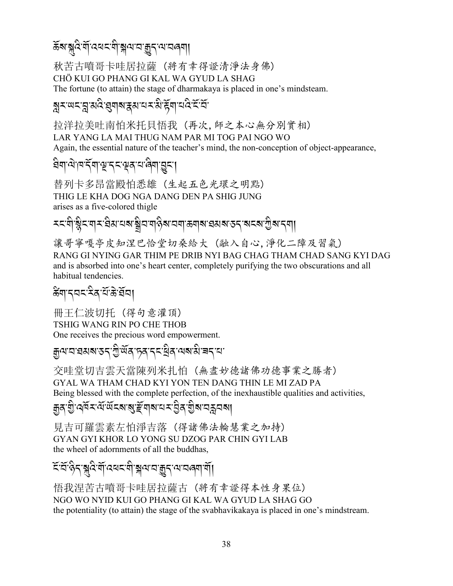ॾॕॺॱॺॣदॆॱॺॕऻॱदॺॸॱॺऀॱॺॣॺॱॸॱक़ॗॸॱॺॱॸॿॎॺ**॥** 

秋苦古噴哥卡哇居拉薩 (將有幸得證清淨法身佛) CHÖ KUI GO PHANG GI KAL WA GYUD LA SHAG The fortune (to attain) the stage of dharmakaya is placed in one's mindsteam.

#### য়ৢ৲ড়ৼয়ৣয়৻ঽ৾ৼয়ৢঀয়ৼয়ৼ৸ৼয়৾ৼৢয়৾৸য়ঽৼৼ

拉洋拉美吐南怕米托貝悟我 (再次,師之本心無分別實相) LAR YANG LA MAI THUG NAM PAR MI TOG PAI NGO WO Again, the essential nature of the teacher's mind, the non-conception of object-appearance,

#### ਬੇণাঐাণর্দ্মাঞ্চুদ্দমঞ্জমাঞ্জনামূনা

替列卡多昂當殿怕悉雄 (生起五色光環之明點) THIG LE KHA DOG NGA DANG DEN PA SHIG JUNG arises as a five-colored thigle

讓哥寧嘎亭皮知涅巴恰堂切桑給大 (融入自心,淨化二障及習氣) RANG GI NYING GAR THIM PE DRIB NYI BAG CHAG THAM CHAD SANG KYI DAG and is absorbed into one's heart center, completely purifying the two obscurations and all habitual tendencies.

#### र्ढेंग'द्वद'दैव'यें'ङे'र्बेव।

冊王仁波切托(得句意灌頂) TSHIG WANG RIN PO CHE THOB One receives the precious word empowerment.

# **ৰুণ'ম'ৱমৰাত্তন'শ্ৰীজ্ঞানক'ৰ মাজীৱৰ সমা**পত্ৰী বিদ্যা

交哇堂切吉雲天當陳列米扎怕 (無盡妙德諸佛功德事業之勝者) GYAL WA THAM CHAD KYI YON TEN DANG THIN LE MI ZAD PA Being blessed with the complete perfection, of the inexhaustible qualities and activities,

#### ন্ত্ৰ'য়ু'ৰ্শৰ মন্ত্ৰ'ৰ্জনৰ স্বাহীৰ প্ৰাৰম্ভ বিদ্ৰা

見吉可羅雲素左怕淨吉落 (得諸佛法輪慧業之加持) GYAN GYI KHOR LO YONG SU DZOG PAR CHIN GYI LAB the wheel of adornments of all the buddhas,

য়ৼৼ৻ৼ৻৸ৼ৻৸৻৸৸৸৸৸ৼ৻৸ৼ৻৸৸৸৸৸৸৸৸

悟我涅苦古噴哥卡哇居拉薩古 (将有幸證得本性身果位) NGO WO NYID KUI GO PHANG GI KAL WA GYUD LA SHAG GO the potentiality (to attain) the stage of the syabhavika kay a is placed in one's mindstream.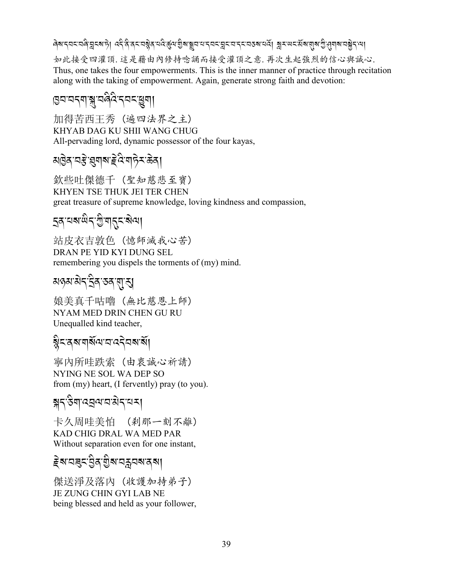#### 

如此接受四灌頂. 這是藉由內修持唸誦而接受灌頂之意. 再次生起強烈的信心與誠心. Thus, one takes the four empowerments. This is the inner manner of practice through recitation along with the taking of empowerment. Again, generate strong faith and devotion:

# । छन्नन्दन् । अपुरुषे अपुरुषे ।<br>।

加得苦西王秀 (遍四法界之主) KHYAB DAG KU SHII WANG CHUG All-pervading lord, dynamic possessor of the four kayas,

欽些吐傑德千 (聖知慈悲至寶) KHYEN TSE THUK JEI TER CHEN great treasure of supreme knowledge, loving kindness and compassion,

# **इत** यब खेन गुपातू दाबेया

站皮衣吉敦色 (憶師滅我心苦) DRAN PE YID KYI DUNG SEL remembering you dispels the torments of (my) mind.

# য়ঀঌয়ড়৻ৼৣ৾ঀ৻ঽঀ৻য়ৗ

娘美真千咕嚕 (無比慈恩上師) NYAM MED DRIN CHEN GU RU Unequalled kind teacher,

# ষ্ট্ৰমন্ত্ৰমান্মৰ বিষ্মাৰ্থী

寧內所哇跌索 (由衷誠心祈請) NYING NE SOL WA DEP SO from (my) heart, (I fervently) pray (to you).

# য়ঀড়য়ঢ়ড়য়৸ৼ৸

卡久周哇美怕 (刹那一刻不離) KAD CHIG DRAL WA MED PAR Without separation even for one instant,

$$
\widetilde{\mathcal{E}}^{\text{N} \text{-} \text{N} \text{-} \text{N} \text{-} \text{N} \text{-} \text{N} \text{-} \text{N} \text{-} \text{N} \text{-} \text{N} \text{-} \text{N} \text{-} \text{N} \text{-} \text{N} \text{-} \text{N} \text{-} \text{N} \text{-} \text{N} \text{-} \text{N} \text{-} \text{N} \text{-} \text{N} \text{-} \text{N} \text{-} \text{N} \text{-} \text{N} \text{-} \text{N} \text{-} \text{N} \text{-} \text{N} \text{-} \text{N} \text{-} \text{N} \text{-} \text{N} \text{-} \text{N} \text{-} \text{N} \text{-} \text{N} \text{-} \text{N} \text{-} \text{N} \text{-} \text{N} \text{-} \text{N} \text{-} \text{N} \text{-} \text{N} \text{-} \text{N} \text{-} \text{N} \text{-} \text{N} \text{-} \text{N} \text{-} \text{N} \text{-} \text{N} \text{-} \text{N} \text{-} \text{N} \text{-} \text{N} \text{-} \text{N} \text{-} \text{N} \text{-} \text{N} \text{-} \text{N} \text{-} \text{N} \text{-} \text{N} \text{-} \text{N} \text{-} \text{N} \text{-} \text{N} \text{-} \text{N} \text{-} \text{N} \text{-} \text{N} \text{-} \text{N} \text{-} \text{N} \text{-} \text{N} \text{-} \text{N} \text{-} \text{N} \text{-} \text{N} \text{-} \text{N} \text{-} \text{N} \text{-} \text{N} \text{-} \text{N} \text{-} \text{N} \text{-} \text{N} \text{-} \text{N} \text{-} \text{N} \text{-} \text{N} \text{-} \text{N} \text{-} \text{N} \text{-} \text{N} \text{-} \text{N} \text{-} \text{N} \text{-} \text{N} \text{-} \text{N} \text{-} \text{N} \text{-} \text{N} \text{-} \text{N} \text{-} \text{N} \text{-} \text{N} \text{-} \
$$

傑送淨及落內 (收護加持弟子) JE ZUNG CHIN GYI LAB NE being blessed and held as your follower,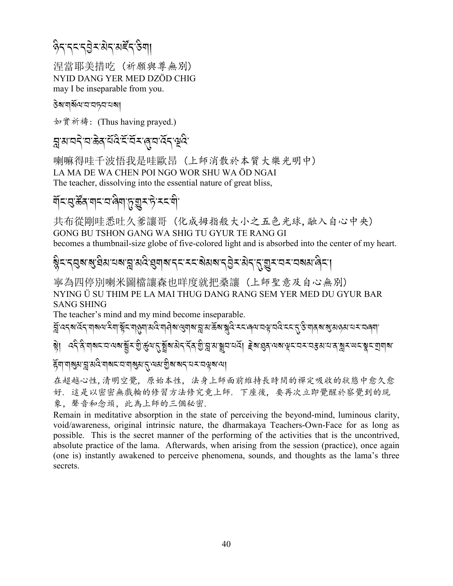# *वै*दन्दन्दुद्येदयङ्क्त्उैगा

涅當耶美措吃 (祈願與尊無別) NYID DANG YER MED DZÖD CHIG may I be inseparable from you.

#### **डेबायार्बेलायाय**ह्या

如實祈禱: (Thus having prayed.)

#### য়ৢয়ৼঢ়ৼ৻ৼড়ৠ৻য়ড়ৼঢ়৻ৼঢ়ৼ৻ৼঢ়ড়ড়ৼ

喇嘛得哇千波悟我是哇歐昂(上師消散於本質大樂光明中) LA MA DE WA CHEN POI NGO WOR SHU WA ÖD NGAI The teacher, dissolving into the essential nature of great bliss,

## ঀॅदछऊ्कुर बाट व खुबाफ़ुख़ुर हे रदवी

共布從剛哇悉吐久爹讓哥 (化成拇指般大小之五色光球,融入自心中央) GONG BU TSHON GANG WA SHIG TU GYUR TE RANG GI becomes a thumbnail-size globe of five-colored light and is absorbed into the center of my heart.

# য়ৢ৾৲৲ঀৢয়ৼৢ৾৾ঀয়ৼয়য়ৢয়৾ঽৼৢয়য়ৼৼৼৼয়য়য়ৼঀ৾ৼৼ৻য়৸ৼ৻ৼঢ়ড়ৼৼ৸ৼয়য়৻ড়ৢ৴

寧為四停別喇米圖檔讓森也咩度就把桑讓(上師聖意及自心無別) NYING Ü SU THIM PE LA MAI THUG DANG RANG SEM YER MED DU GYUR BAR **SANG SHING** 

The teacher's mind and my mind become inseparable.

#### हॅयायाञ्जुराञ्चाअदेखारूप्ययाञ्जुरातुम्बराज्ञुंबाञ्चन्यस्यवस्वाया

在超越心性,清明空覺, 原始本性, 法身上師面前維持長時間的禪定吸收的狀態中愈久愈 好. 這是以密密無戲輪的修習方法修究竟上師. 下座後, 要再次立即覺醒於察覺到的現 象. 聲音和念頭. 此為上師的三個秘密.

Remain in meditative absorption in the state of perceiving the beyond-mind, luminous clarity, void/awareness, original intrinsic nature, the dharmakaya Teachers-Own-Face for as long as possible. This is the secret manner of the performing of the activities that is the uncontrived, absolute practice of the lama. Afterwards, when arising from the session (practice), once again (one is) instantly awakened to perceive phenomena, sounds, and thoughts as the lama's three secrets.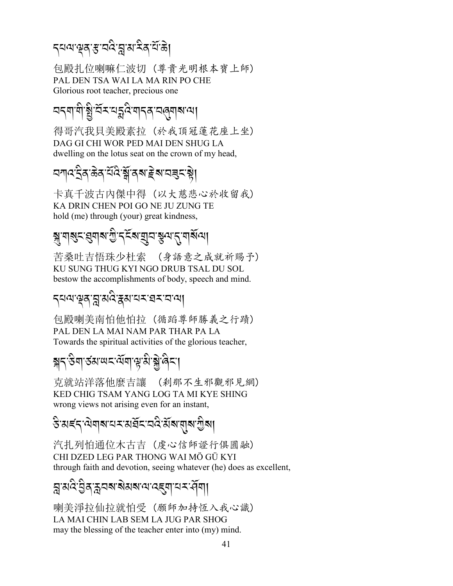# ব্<sup>নৰাক্টৰ স্কল্প প্ৰাপনীৰ <u>বিভি</u></sup>

包殿扎位喇嘛仁波切 (尊貴光明根本寶上師) PAL DEN TSA WAI LA MA RIN PO CHE Glorious root teacher, precious one

# বন্ম'শীষ্ট্ৰ'ৰ্বন'যন্ত্ৰ<sup>্</sup>ৰস্পৰাৰা

得哥汽我貝美殿素拉 (於我頂冠蓮花座上坐) DAG GI CHI WOR PED MAI DEN SHUG LA dwelling on the lotus seat on the crown of my head,

# বশ্ $ন্দ্ৰইন্দ্ৰীৰ্শইৰ্শনৰূমস্ট্ৰ|$

卡真千波古內傑中得 (以大慈悲心於收留我) KA DRIN CHEN POI GO NE JU ZUNG TE hold (me) through (your) great kindness,

# *{-\$?%-,\$?-G* A*-.%* R*?-P2-*)*=-.-\$?* R*=*,

苦桑吐吉悟珠少杜索 (身語意之成就祈賜予) KU SUNG THUG KYI NGO DRUB TSAL DU SOL bestow the accomplishments of body, speech and mind.

# <mark>ৃ</mark>ন্মশস্ত্ৰ স্ন্ৰ'মন্ত্ৰীসকলে স্থা

包殿喇美南怕他怕拉 (循蹈尊師勝義之行蹟) PAL DEN LA MAI NAM PAR THAR PA LA Towards the spiritual activities of the glorious teacher,

# <mark>ক্স</mark>্ব-উন্মান্ড ব্লাৱাৰ্ট্স, <u>ব</u>্ৰান্ড বিদ্ৰা

克就站洋落他麼吉讓 (剎那不生邪觀邪見網) KED CHIG TSAM YANG LOG TA MI KYE SHING wrong views not arising even for an instant,

# $\mathbf{\hat{s}}$  মৰ্হ্ন অম্বৰ্ম সম্পৰ্ক সম্পৰ্কীয়া

汽扎列怕通位木古吉 (虔心信師證行俱圓融) CHI DZED LEG PAR THONG WAI MÖ GÜ KYI through faith and devotion, seeing whatever (he) does as excellent,

#### ন্ন'মণ্ড্ৰ'ষ্ট্ৰন'ৰ্ম'ৰ্মৰ'ম্ব'ৰ্ম'ৰ্ম'ৰ্ম' বিশা J .<br>.<br>.

喇美淨拉仙拉就怕受 (願師加持恆入我心識) LA MAI CHIN LAB SEM LA JUG PAR SHOG may the blessing of the teacher enter into (my) mind.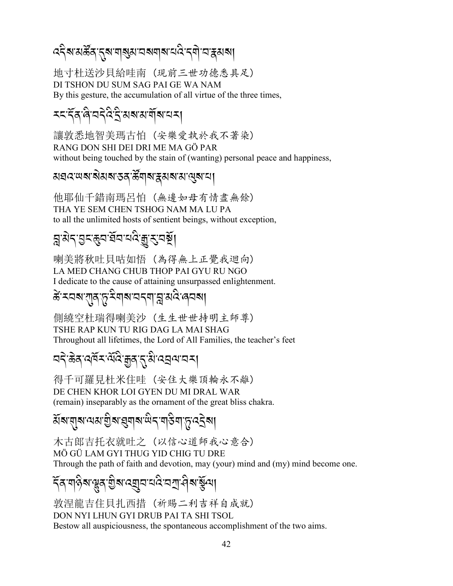# *द*दैब अर्क्षेत्र दुब गबुरा चब्बाब चंदे द्वो चन्नुसबा

地寸杜送沙貝給哇南 (現前三世功德悉具足) DI TSHON DU SUM SAG PAI GE WA NAM By this gesture, the accumulation of all virtue of the three times,

# *মমন্দিৰ ৰি'নন্দ্ৰ ই'ৱৰ্মৰাৰ্শ্বৰ মান*

讓敦悉地智美瑪古怕 (安樂愛執於我不著染) RANG DON SHI DEI DRI ME MA GÖ PAR without being touched by the stain of (wanting) personal peace and happiness,

#### য়য়৵ড়৶য়৶৶ৼঀড়ৢ৸ৼঀ৸৸৸৸৸

他耶仙千錯南瑪呂怕 (無邊如母有情盡無餘) THA YE SEM CHEN TSHOG NAM MA LU PA to all the unlimited hosts of sentient beings, without exception,

# য়ৢয়ৼ*৾ঀৼৠ৸ড়ৢৼ*৻ৼয়৻ড়৻ড়৻ৼয়য়৻

喇美將秋吐貝咕如悟(為得無上正覺我迴向) LA MED CHANG CHUB THOP PAI GYU RU NGO I dedicate to the cause of attaining unsurpassed enlightenment.

# ङे ऱ्यबारगुत फु र्रेयाबायदवा त्नु अवैः लयबा

側繞空杜瑞得喇美沙 (生生世世持明主師尊) TSHE RAP KUN TU RIG DAG LA MAI SHAG Throughout all lifetimes, the Lord of All Families, the teacher's feet

## *ঽ*ঀ৾৾੶ড়৶ৼড়ৼ৻ড়ৢৼ৻ৼ৻ৼ৻ৼ৻ৼৢৼ৻ৼ৻৸ৼ৸

得千可羅見杜米住哇 (安住大樂頂輪永不離) DE CHEN KHOR LOI GYEN DU MI DRAL WAR (remain) inseparably as the ornament of the great bliss chakra.

য়য়য়য়৸য়য়৾ড়য়ৼঀয়৸ড়ৢৼ৻ড়ঀৣৼ৻ৼ৻ড়৸

木古郎吉托衣就吐之 (以信心道師我心意合) MÖ GÜ LAM GYI THUG YID CHIG TU DRE Through the path of faith and devotion, may (your) mind and (my) mind become one.

# য়৻৸৸ড়৸ৼঢ়ঢ়৸৻৸ঢ়৸ঢ়৸৸৸৸৸ৼঢ়৸ৼ৻৸ঢ়৸ৼঀ৸৸

敦涅龍吉住貝扎西措 (祈賜二利吉祥自成就) DON NYI LHUN GYI DRUB PAI TA SHI TSOL Bestow all auspiciousness, the spontaneous accomplishment of the two aims.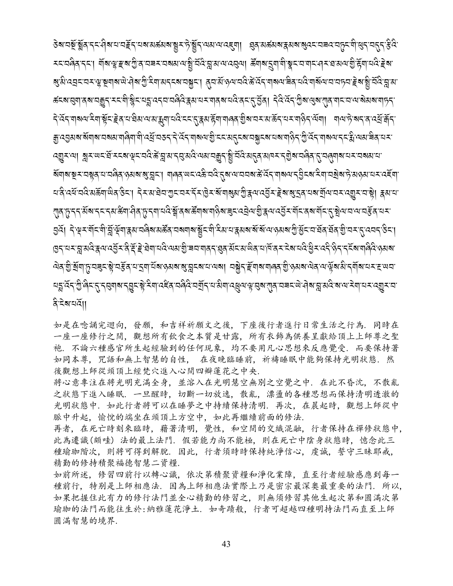ऄॺॱय़ऄॕॖॱऄॣॳॱ৴ৼড়ऻख़ॱग़ॾॕॖड़ॱय़ॺॱय़ॾ॔य़ॺॷॕॾॱॸॖऀऄॕॗड़ॱज़ॹॱज़ॾॎ॔ॴॱॷॳॶॎॷॷॷॷॷॷॷॷॷॷॷॷॴॷॴॷॴॷॴॷॴ ৰ্কৰাত্ত্বাৰ্ষামক্কুন মৰাষ্ট্ৰৰামন্ন বেনামন্ত্ৰী স্কুলৰ মাৰাৰ আৰু বিদ্যুত্ত্বা নিৰ্বৰ্তন অৰাজ্য আৰু মাৰাজ্য আৰ दे देंद्दायाबयादैयाञ्चेंदाङ्केदायाञ्चेबायाबाभूयायदे ददादुक्काङ्गेवायालकाञ्चेबायदाबाङ्गेदायया। यायाने बदाकार्या ৰ্যাদ্ৰা খ্ৰিমল্লযুক্ত প্ৰতিষ্ঠাৰীয়ে প্ৰতিষ্ঠাৰ পৰা প্ৰতিষ্ঠাৰ বিৰোধ কৰি প্ৰতিষ্ঠাৰ পৰি প্ৰতিষ্ঠাৰ পৰা প্ৰতিষ ঘ'ৰ বেৰু বতু পৰু আৰু প্ৰয়াৰ প্ৰয়াৰ কৰা হৈছে বুলি বুলি বুলি বুলি বুলি বুলি বিশ্বৰ বিদ্যালয় বিশ্বৰ বিদ্যালয় *ग़*ड़फ़ॖॱॸॸऄॕॺॱॸॸॸॴख़ॴॷॳफ़ॱॸॴॱॷॕऄॖॣॱॳख़ख़ॷॷॺॵॷॴॷऄॴॷऄॴॷॷॷॷॷॴॷॷॷॴॷॷॳॴ <u> ସୁধু। বিজিবজন্ম ইন্দ্ৰিয়াইপাৰ্থৰ প্ৰাপ্ত প্ৰধান আৰু দুৰ্ভিত প্ৰাপ্ত প্ৰথম কৰি প্ৰতিষ্</u>পত্ৰ প্ৰয়াই প্ৰতিষ্পতি ॷॸॱय़ॸॱय़ॗॱॺॺऀॱड़ॖॺॱॺॶॕॸॱदऀॱड़ऀॱॾॆॱॿॆॺॱय़ॺऀॱॺॺॱॻॖऀॱॿय़ॱॺ∣ढ़ॸॱख़ॖढ़ॱॺॕॸॱॺॱॺऀढ़ॱय़ॱक़ऀॸॱऄऀॱॷऀॸॱॸड़ॷख़ॴऀढ़ऄॱॶॺॺॱ <u>ঐৰ যুঁ মুঁ</u>নাড্ৰেৰ্ছ ষ্টু বৰ্ষ্টৰ বাব্ৰাইৰ ওপৰ ৰাষ্ট্ৰৰ স্বাৰ্থ বৰ্ষ্ট হৈ নিৰ্বাৰৰ যুগত স্বাৰৰ অন্য কৰি বাৰ্ত্ত *ጜ*ጟፚ፟ጞጟ፟ኇ፟ቑጜጞጜቔቑቚጞቔጜቜጞቘጜቘጞቔዿጜቑቜዹጜቑቘጞጜቑቑጞቔጞቝቑጜ፝ቑቚጞቑዹጞቝጞቝቑጞጞቑጜጜጜቑጞጜ ষ্টিমতাৰ্যা

如是在唸誦完迴向, 發願, 和吉祥祈願文之後, 下座後行者進行日常生活之行為. 同時在 一座一座修行之間,觀想所有飲食之本質是甘露,所有衣飾為供養呈獻給頂上上師尊之聖 袍,不論六種感官所生起經驗到的任何現象,均不要用凡心思想來反應覺受,而要保持著 如同本尊, 咒語和無上智慧的自性, 在夜晚臨睡前, 祈禱睡眠中能夠保持光明狀態, 然 後觀想上師從頭頂上經梵穴進入心間四瓣蓮花之中央.

将心意專注在將光明充滿全身,並溶入在光明慧空無別之空覺之中. 在此不昏沈, 不散亂 之狀態下進入睡眠. 一旦醒時, 切斷一切放逸, 散亂, 漂盪的各種思想而保持清明透澈的 光明狀態中, 如此行者將可以在睡夢之中持續保持清明, 再次, 在晨起時, 觀想上師從中 脈中升起, 愉悦的端坐在頭頂上方空中, 如此再繼續前面的修法.

再者, 在死亡時刻來臨時, 藉著清明, 覺性, 和空間的交織混融, 行者保持在禪修狀態中, 此為遷識(頗哇)法的最上法門. 假若能力尚不能極, 則在死亡中陰身狀態時, 憶念此三 種瑜珈階次,則將可得到解脫. 因此, 行者須時時保持純淨信心, 虔誠, 誓守三昧耶戒, 精勤的修持積聚福德智慧二資糧.

如前所述, 修習四前行以轉心識, 依次第積聚資糧和淨化業障, 直至行者經驗感應到每一 種前行, 特别是上師相應法, 因為上師相應法實際上乃是密宗最深奧最重要的法門, 所以, 如果把握住此有力的修行法門並全心精勤的修習之,則無須修習其他生起次第和圓滿次第 瑜珈的法門而能往生於:納雅蓮花淨土. 如奇蹟般, 行者可超越四種明持法門而直至上師 圓滿智慧的境界.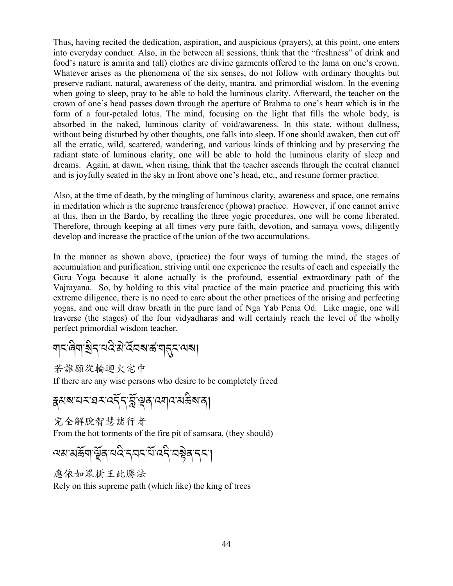Thus, having recited the dedication, aspiration, and auspicious (prayers), at this point, one enters into everyday conduct. Also, in the between all sessions, think that the "freshness" of drink and food's nature is amrita and (all) clothes are divine garments offered to the lama on one's crown. Whatever arises as the phenomena of the six senses, do not follow with ordinary thoughts but preserve radiant, natural, awareness of the deity, mantra, and primordial wisdom. In the evening when going to sleep, pray to be able to hold the luminous clarity. Afterward, the teacher on the crown of one's head passes down through the aperture of Brahma to one's heart which is in the form of a four-petaled lotus. The mind, focusing on the light that fills the whole body, is absorbed in the naked, luminous clarity of void/awareness. In this state, without dullness, without being disturbed by other thoughts, one falls into sleep. If one should awaken, then cut off all the erratic, wild, scattered, wandering, and various kinds of thinking and by preserving the radiant state of luminous clarity, one will be able to hold the luminous clarity of sleep and dreams. Again, at dawn, when rising, think that the teacher ascends through the central channel and is joyfully seated in the sky in front above one's head, etc., and resume former practice.

Also, at the time of death, by the mingling of luminous clarity, awareness and space, one remains in meditation which is the supreme transference (phowa) practice. However, if one cannot arrive at this, then in the Bardo, by recalling the three yogic procedures, one will be come liberated. Therefore, through keeping at all times very pure faith, devotion, and samaya vows, diligently develop and increase the practice of the union of the two accumulations.

In the manner as shown above, (practice) the four ways of turning the mind, the stages of accumulation and purification, striving until one experience the results of each and especially the Guru Yoga because it alone actually is the profound, essential extraordinary path of the Vajrayana. So, by holding to this vital practice of the main practice and practicing this with extreme diligence, there is no need to care about the other practices of the arising and perfecting yogas, and one will draw breath in the pure land of Nga Yab Pema Od. Like magic, one will traverse (the stages) of the four vidyadharas and will certainly reach the level of the wholly perfect primordial wisdom teacher.

*\$%-8* A *\$-Y* A*.-0:* A *-3* J*-:* R*2?-5-\$.%-=?*,

若誰願從輪迴火宅中

If there are any wise persons who desire to be completely freed

*i3?-0<-,<-:.* R*.-]* R*-w/-:\$:-3(* A*?-/*,

完全解脫智慧諸行者

From the hot torments of the fire pit of samsara, (they should)

*=3-3(* R *\$-u* R */-0:* A*-.2%-0* R *-:.* A*-2*! J*/-.%-*,

應依如眾樹王此勝法 Rely on this supreme path (which like) the king of trees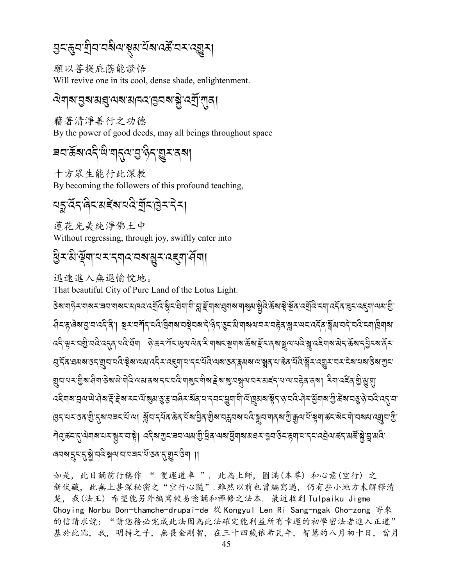願以菩提庇蔭能證悟 Will revive one in its cool, dense shade, enlightenment.

<u> ঐযাঝ'ন্ডুঝ'মন্ত্ৰ'মোন ব্ৰাণ্ডুবৰাক্ষ্ণ'ৰে মীনো</u>

藉著清淨善行之功德 By the power of good deeds, may all beings throughout space

য়য়ড়ৄৼ৸ৼ৻৸৻৸য়ৼ৻৸য়৸ড়৸

十方眾生能行此深教 By becoming the followers of this profound teaching,

$$
\mathbb{E}[\mathbb{E}[\mathbb{E}[\mathbb{E}[\mathbb{E}[\mathbb{E}[\mathbb{E}[\mathbb{E}[\mathbb{E}[\mathbb{E}[\mathbb{E}[\mathbb{E}[\mathbb{E}[\mathbb{E}[\mathbb{E}[\mathbb{E}[\mathbb{E}[\mathbb{E}[\mathbb{E}[\mathbb{E}[\mathbb{E}[\mathbb{E}[\mathbb{E}[\mathbb{E}[\mathbb{E}[\mathbb{E}[\mathbb{E}[\mathbb{E}[\mathbb{E}[\mathbb{E}[\mathbb{E}[\mathbb{E}[\mathbb{E}[\mathbb{E}[\mathbb{E}[\mathbb{E}[\mathbb{E}[\mathbb{E}[\mathbb{E}[\mathbb{E}[\mathbb{E}[\mathbb{E}[\mathbb{E}[\mathbb{E}[\mathbb{E}[\mathbb{E}[\mathbb{E}[\mathbb{E}[\mathbb{E}[\mathbb{E}[\mathbb{E}[\mathbb{E}[\mathbb{E}[\mathbb{E}[\mathbb{E}[\mathbb{E}[\mathbb{E}[\mathbb{E}[\mathbb{E}[\mathbb{E}[\mathbb{E}[\mathbb{E}[\mathbb{E}[\mathbb{E}[\mathbb{E}[\mathbb{E}[\mathbb{E}[\mathbb{E}[\mathbb{E}[\mathbb{E}[\mathbb{E}[\mathbb{E}[\mathbb{E}[\mathbb{E}[\mathbb{E}[\mathbb{E}[\mathbb{E}[\mathbb{E}[\mathbb{E}[\mathbb{E}[\mathbb{E}[\mathbb{E}[\mathbb{E}[\mathbb{E}[\mathbb{E}[\mathbb{E}[\mathbb{E}[\mathbb{E}[\mathbb{E}[\mathbb{E}[\mathbb{E}[\mathbb{E}[\mathbb{E}[\mathbb{E}[\mathbb{E}[\mathbb{E}[\mathbb{E}[\mathbb{E}[\mathbb{E}[\mathbb{E}[\mathbb{E}[\mathbb{E}[\mathbb{E}[\mathbb{E}[\mathbb{E}[\mathbb{E}[\mathbb{E}[\mathbb{E}[\mathbb{E}[\mathbb{E}[\mathbb{E}[\mathbb{E}[\mathbb{E}[\mathbb{E}[\mathbb{E}[\mathbb{E}[\mathbb{E}[\mathbb{E}[\mathbb{E}[\mathbb{E}[\mathbb{E}[\mathbb{E}[\mathbb{E}[\mathbb{E}[\mathbb{E}[\mathbb{E}[\mathbb{
$$

蓮花光美純淨佛土中 Without regressing, through joy, swiftly enter into

धैर:अै भूँषा यर दबाद यब ग्रुर दहवा सेंबा।

迅速進入無退愉悅地。

That beautiful City of Pure Land of the Lotus Light.

<del>ᢃ</del>ब बाक्र साब र बया बाब र बाब र र बुदि स्नै र बिबा बी ह्वाङ्क बाब खुबाब बाबु बाद् से स्व स्व दि र बा र दें बाद र ब सेन्द्रलेब पुत्रायदीले । ब्रूमयर्गेन यदेखिगबायबेयबाटे लेन उन्हों गबलायमयहेवाङ्कमाण्यादिन ङ्ग्रेषायने यदे नगढिगब *ड़*ॱঀয়ৼ৶ৼৼৼৗয়৸ৼড়৻ড়৾৶ৼ৻ড়৸ৼ৻ৼ৻ৼ৾ৼৢ৻৸৸৻৸ৼ৻ৼৣড়৻৸৸ৼঀৼ৸ৼ৸ৼ৸ৼ৸ৼ৸ৼ৸ৼ৸ৼ৸ৼ৻ড়৾ৼ৻ড়৾ৼ৻ড়৾ৼ৻ড়ৼ৻৸ৼ৻ য়ৄয়ৼ৸ৼ৾৾৾য়ৣ৾৾য়৻ৼৢ৸৶ড়ঢ়ড়৻ড়৸ৼ৸ৼ৸ড়৸ৼ৸ৼঢ়৸ৼৼড়৸ৼৼঢ়৸ৼ৸ৼৼ৸ৼ৾ৼ৸ৼ৸ৼ৸ৼ৸ৼ৸ৼ৻ড়৻ড়৻য়৾ৼয়ৼ৻ *෬*৾ৼঀয়ড়৸ড়৾ৼঀয়ৼৼৼড়৻ৼৼৼ৻ড়য়ৼঀৼৼ৻ড়ৼ৻ৼঀৼ৻ৼঀৼ৻ড়ঀ৻ড়৻ড়৻ড়৸ড়ঢ়৻ড়৸ৼ৻ড়ঀৼ৻ড়ড়৻ড়৻ড়৻ড়৻ড়৻ৼ৻ৼ৻ৼ৻ । এর্বান্দ্রপ্রান্ত বিশ্বান্দ্রপ্রান্ত বিশ্বান্ত প্রান্ত প্রান্ত করি বিশ্বান্ত প্রান্ত প্রান্ত প্রান্ত প্রান্ত <u> ୩</u>୧ुर्क्र<ह्रायेषाबाद्यरञ्चरादाञ्चे। ददैबागुराबदायबाग्नुद्विदायबाघुँषाबाबवराष्ठुदाद्वेषादरदद्वेयार्क्रदाबर्केञ्चञ्जबंदा ख्यबाद् दार् ब्ले वर्ष ब्ले का वाद्य स्वार्थ स्था ।।

如是, 此日誦前行稱作 " 雙運道車 ". 此為上師, 圓滿(本尊) 和心意(空行) 之 新伏藏, 此無上甚深秘密之"空行心髓". 雖然以前也曾編寫過, 仍有些小地方未解釋清 楚, 我(法王) 希望能另外編寫較易唸誦和禪修之法本. 最近收到 Tulpaiku Jigme Choying Norbu Don-thamche-drupai-de 從 Kongyul Len Ri Sang-ngak Cho-zong 寄來 的信請求說:"請您務必完成此法因為此法確定能利益所有幸運的初學密法者進入正道" 基於此點,我,明持之子,無畏金剛智,在三十四歲依希瓦年,智慧的八月初十日,當月